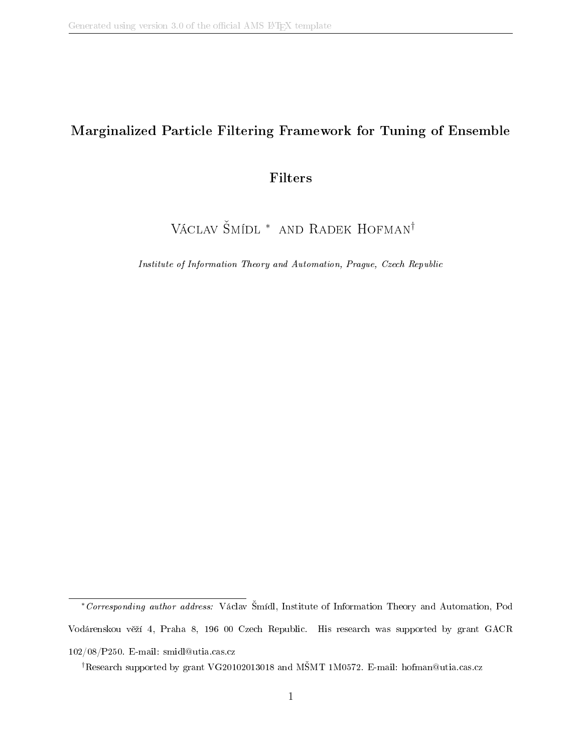### Marginalized Particle Filtering Framework for Tuning of Ensemble

### Filters

# VÁCLAV ŠMÍDL <sup>\*</sup> AND RADEK HOFMAN<sup>†</sup>

Institute of Information Theory and Automation, Prague, Czech Republic

<sup>∗</sup>Corresponding author address: Václav mídl, Institute of Information Theory and Automation, Pod Vodárenskou věží 4, Praha 8, 196 00 Czech Republic. His research was supported by grant GACR 102/08/P250. E-mail: smidl@utia.cas.cz

<sup>&</sup>lt;sup>†</sup>Research supported by grant VG20102013018 and MSMT 1M0572. E-mail: hofman@utia.cas.cz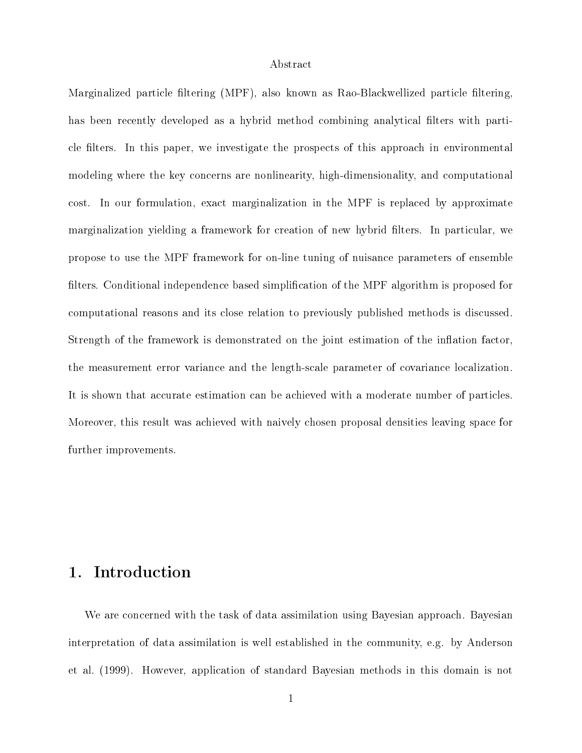### Abstract

Marginalized particle filtering (MPF), also known as Rao-Blackwellized particle filtering, has been recently developed as a hybrid method combining analytical filters with particle filters. In this paper, we investigate the prospects of this approach in environmental modeling where the key concerns are nonlinearity, high-dimensionality, and computational cost. In our formulation, exact marginalization in the MPF is replaced by approximate marginalization yielding a framework for creation of new hybrid filters. In particular, we propose to use the MPF framework for on-line tuning of nuisance parameters of ensemble filters. Conditional independence based simplification of the MPF algorithm is proposed for computational reasons and its close relation to previously published methods is discussed. Strength of the framework is demonstrated on the joint estimation of the inflation factor, the measurement error variance and the length-scale parameter of covariance localization. It is shown that accurate estimation can be achieved with a moderate number of particles. Moreover, this result was achieved with naively chosen proposal densities leaving space for further improvements.

## 1. Introduction

We are concerned with the task of data assimilation using Bayesian approach. Bayesian interpretation of data assimilation is well established in the community, e.g. by Anderson et al. (1999). However, application of standard Bayesian methods in this domain is not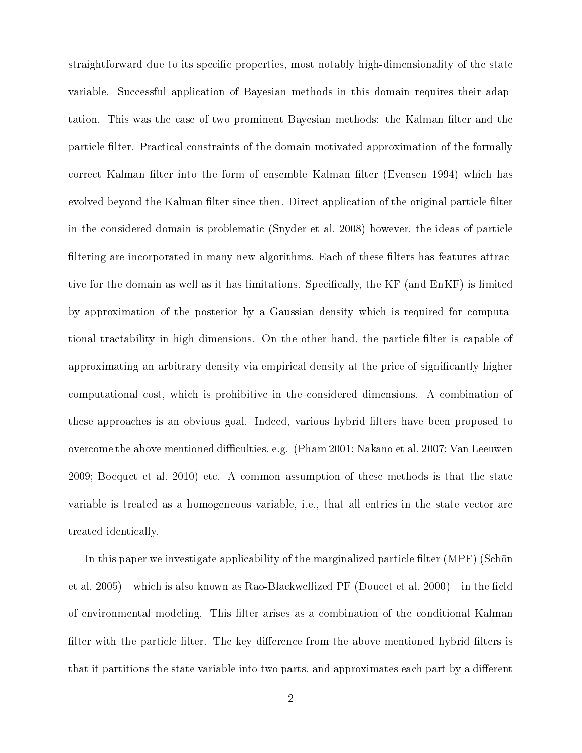straightforward due to its specific properties, most notably high-dimensionality of the state variable. Successful application of Bayesian methods in this domain requires their adaptation. This was the case of two prominent Bayesian methods: the Kalman filter and the particle filter. Practical constraints of the domain motivated approximation of the formally correct Kalman filter into the form of ensemble Kalman filter (Evensen 1994) which has evolved beyond the Kalman filter since then. Direct application of the original particle filter in the considered domain is problematic (Snyder et al. 2008) however, the ideas of particle filtering are incorporated in many new algorithms. Each of these filters has features attractive for the domain as well as it has limitations. Specifically, the KF (and EnKF) is limited by approximation of the posterior by a Gaussian density which is required for computational tractability in high dimensions. On the other hand, the particle filter is capable of approximating an arbitrary density via empirical density at the price of signicantly higher computational cost, which is prohibitive in the considered dimensions. A combination of these approaches is an obvious goal. Indeed, various hybrid filters have been proposed to overcome the above mentioned difficulties, e.g. (Pham 2001; Nakano et al. 2007; Van Leeuwen 2009; Bocquet et al. 2010) etc. A common assumption of these methods is that the state variable is treated as a homogeneous variable, i.e., that all entries in the state vector are treated identically.

In this paper we investigate applicability of the marginalized particle filter (MPF) (Schön et al. 2005)—which is also known as Rao-Blackwellized PF (Doucet et al. 2000)—in the field of environmental modeling. This filter arises as a combination of the conditional Kalman filter with the particle filter. The key difference from the above mentioned hybrid filters is that it partitions the state variable into two parts, and approximates each part by a different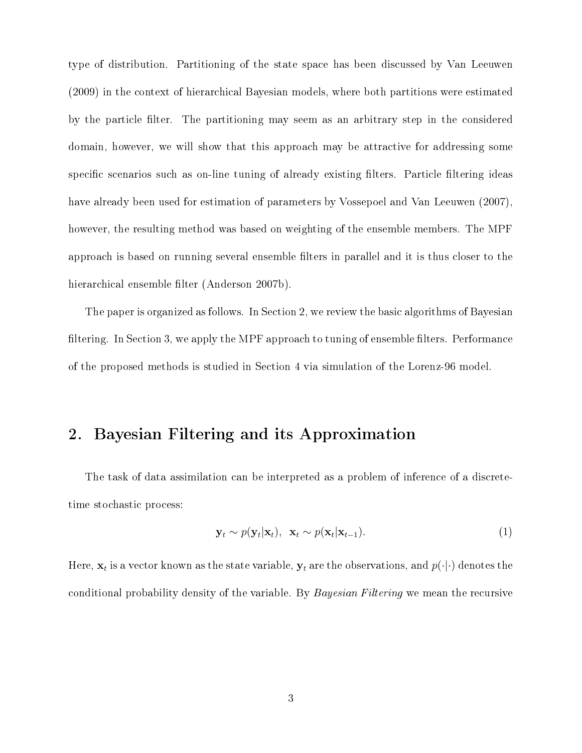type of distribution. Partitioning of the state space has been discussed by Van Leeuwen (2009) in the context of hierarchical Bayesian models, where both partitions were estimated by the particle filter. The partitioning may seem as an arbitrary step in the considered domain, however, we will show that this approach may be attractive for addressing some specific scenarios such as on-line tuning of already existing filters. Particle filtering ideas have already been used for estimation of parameters by Vossepoel and Van Leeuwen (2007), however, the resulting method was based on weighting of the ensemble members. The MPF approach is based on running several ensemble filters in parallel and it is thus closer to the hierarchical ensemble filter (Anderson 2007b).

The paper is organized as follows. In Section 2, we review the basic algorithms of Bayesian filtering. In Section 3, we apply the MPF approach to tuning of ensemble filters. Performance of the proposed methods is studied in Section 4 via simulation of the Lorenz-96 model.

### 2. Bayesian Filtering and its Approximation

The task of data assimilation can be interpreted as a problem of inference of a discretetime stochastic process:

$$
\mathbf{y}_t \sim p(\mathbf{y}_t|\mathbf{x}_t), \ \mathbf{x}_t \sim p(\mathbf{x}_t|\mathbf{x}_{t-1}). \tag{1}
$$

Here,  $\mathbf{x}_t$  is a vector known as the state variable,  $\mathbf{y}_t$  are the observations, and  $p(\cdot|\cdot)$  denotes the conditional probability density of the variable. By *Bayesian Filtering* we mean the recursive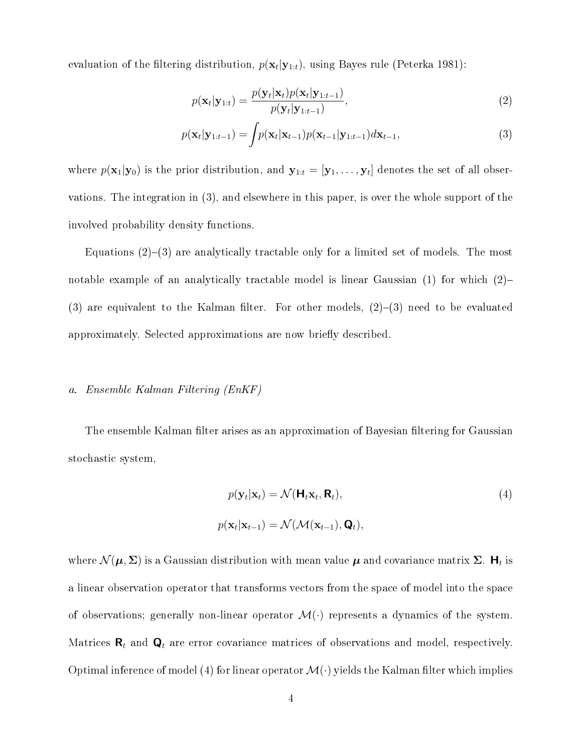evaluation of the filtering distribution,  $p(\mathbf{x}_t|\mathbf{y}_{1:t})$ , using Bayes rule (Peterka 1981):

$$
p(\mathbf{x}_t|\mathbf{y}_{1:t}) = \frac{p(\mathbf{y}_t|\mathbf{x}_t)p(\mathbf{x}_t|\mathbf{y}_{1:t-1})}{p(\mathbf{y}_t|\mathbf{y}_{1:t-1})},
$$
\n(2)

$$
p(\mathbf{x}_t|\mathbf{y}_{1:t-1}) = \int p(\mathbf{x}_t|\mathbf{x}_{t-1}) p(\mathbf{x}_{t-1}|\mathbf{y}_{1:t-1}) d\mathbf{x}_{t-1},
$$
\n(3)

where  $p(\mathbf{x}_1|\mathbf{y}_0)$  is the prior distribution, and  $\mathbf{y}_{1:t} = [\mathbf{y}_1,\dots,\mathbf{y}_t]$  denotes the set of all observations. The integration in (3), and elsewhere in this paper, is over the whole support of the involved probability density functions.

Equations  $(2)-(3)$  are analytically tractable only for a limited set of models. The most notable example of an analytically tractable model is linear Gaussian  $(1)$  for which  $(2)$ (3) are equivalent to the Kalman filter. For other models,  $(2)-(3)$  need to be evaluated approximately. Selected approximations are now briefly described.

### a. Ensemble Kalman Filtering (EnKF)

The ensemble Kalman filter arises as an approximation of Bayesian filtering for Gaussian stochastic system,

$$
p(\mathbf{y}_t|\mathbf{x}_t) = \mathcal{N}(\mathbf{H}_t\mathbf{x}_t, \mathbf{R}_t),
$$
  
\n
$$
p(\mathbf{x}_t|\mathbf{x}_{t-1}) = \mathcal{N}(\mathcal{M}(\mathbf{x}_{t-1}), \mathbf{Q}_t),
$$
\n(4)

where  $\mathcal{N}(\bm{\mu},\bm{\Sigma})$  is a Gaussian distribution with mean value  $\bm{\mu}$  and covariance matrix  $\bm{\Sigma}.$   $\bm{\mathsf{H}}_t$  is a linear observation operator that transforms vectors from the space of model into the space of observations; generally non-linear operator  $\mathcal{M}(\cdot)$  represents a dynamics of the system. Matrices  $\mathbf{R}_t$  and  $\mathbf{Q}_t$  are error covariance matrices of observations and model, respectively. Optimal inference of model (4) for linear operator  $\mathcal{M}(\cdot)$  yields the Kalman filter which implies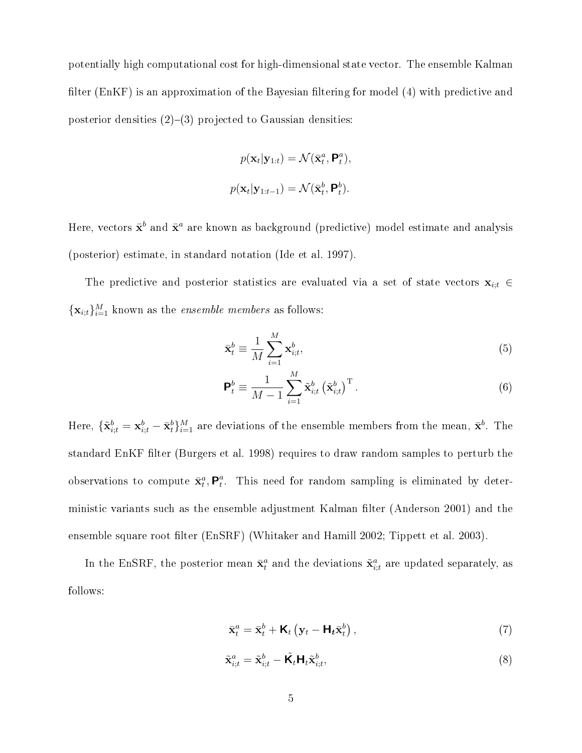potentially high computational cost for high-dimensional state vector. The ensemble Kalman filter (EnKF) is an approximation of the Bayesian filtering for model  $(4)$  with predictive and posterior densities  $(2)-(3)$  projected to Gaussian densities:

$$
p(\mathbf{x}_t|\mathbf{y}_{1:t}) = \mathcal{N}(\bar{\mathbf{x}}_t^a, \mathbf{P}_t^a),
$$
  

$$
p(\mathbf{x}_t|\mathbf{y}_{1:t-1}) = \mathcal{N}(\bar{\mathbf{x}}_t^b, \mathbf{P}_t^b).
$$

Here, vectors  $\bar{\mathbf{x}}^b$  and  $\bar{\mathbf{x}}^a$  are known as background (predictive) model estimate and analysis (posterior) estimate, in standard notation (Ide et al. 1997).

The predictive and posterior statistics are evaluated via a set of state vectors  $\mathbf{x}_{i,t} \in$  $\{\mathbf x_{i:t}\}_{i=1}^M$  known as the *ensemble members* as follows:

$$
\bar{\mathbf{x}}_t^b \equiv \frac{1}{M} \sum_{i=1}^M \mathbf{x}_{i,t}^b,\tag{5}
$$

$$
\mathbf{P}_t^b \equiv \frac{1}{M-1} \sum_{i=1}^M \tilde{\mathbf{x}}_{i,t}^b \left(\tilde{\mathbf{x}}_{i,t}^b\right)^{\mathrm{T}}.
$$
 (6)

Here,  $\{\tilde{\mathbf{x}}_{i;t}^b = \mathbf{x}_{i;t}^b - \bar{\mathbf{x}}_t^b\}_{i=1}^M$  are deviations of the ensemble members from the mean,  $\bar{\mathbf{x}}^b$ . The standard EnKF filter (Burgers et al. 1998) requires to draw random samples to perturb the observations to compute  $\bar{\mathbf{x}}_t^a, \mathbf{P}_t^a$  $_t^a$ . This need for random sampling is eliminated by deterministic variants such as the ensemble adjustment Kalman filter (Anderson 2001) and the ensemble square root filter (EnSRF) (Whitaker and Hamill 2002; Tippett et al. 2003).

In the EnSRF, the posterior mean  $\bar{\mathbf{x}}_t^a$  and the deviations  $\tilde{\mathbf{x}}_{i;t}^a$  are updated separately, as follows:

$$
\bar{\mathbf{x}}_t^a = \bar{\mathbf{x}}_t^b + \mathbf{K}_t \left( \mathbf{y}_t - \mathbf{H}_t \bar{\mathbf{x}}_t^b \right),\tag{7}
$$

$$
\tilde{\mathbf{x}}_{i;t}^a = \tilde{\mathbf{x}}_{i;t}^b - \tilde{\mathbf{K}}_t \mathbf{H}_t \tilde{\mathbf{x}}_{i;t}^b,
$$
\n(8)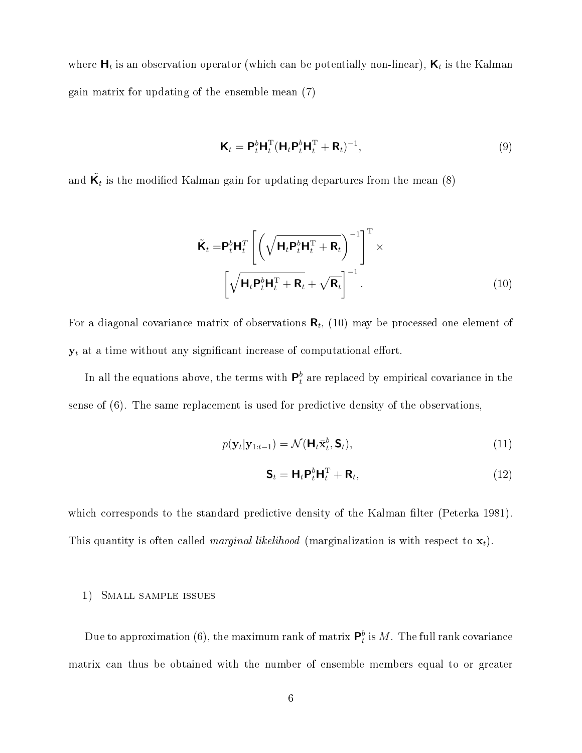where  $\bm{\mathsf{H}}_t$  is an observation operator (which can be potentially non-linear),  $\bm{\mathsf{K}}_t$  is the Kalman gain matrix for updating of the ensemble mean (7)

$$
\mathbf{K}_t = \mathbf{P}_t^b \mathbf{H}_t^{\mathrm{T}} (\mathbf{H}_t \mathbf{P}_t^b \mathbf{H}_t^{\mathrm{T}} + \mathbf{R}_t)^{-1}, \tag{9}
$$

and  $\tilde{\mathsf{K}}_t$  is the modified Kalman gain for updating departures from the mean (8)

$$
\tilde{\mathbf{K}}_t = \mathbf{P}_t^b \mathbf{H}_t^T \left[ \left( \sqrt{\mathbf{H}_t \mathbf{P}_t^b \mathbf{H}_t^T + \mathbf{R}_t} \right)^{-1} \right]^T \times \left[ \sqrt{\mathbf{H}_t \mathbf{P}_t^b \mathbf{H}_t^T + \mathbf{R}_t} + \sqrt{\mathbf{R}_t} \right]^{-1}.
$$
\n(10)

For a diagonal covariance matrix of observations  $\boldsymbol{\mathsf{R}}_t$ ,  $(10)$  may be processed one element of  $\mathbf{y}_t$  at a time without any significant increase of computational effort.

In all the equations above, the terms with  $\mathsf{P}_t^b$  $_t^b$  are replaced by empirical covariance in the sense of (6). The same replacement is used for predictive density of the observations,

$$
p(\mathbf{y}_t|\mathbf{y}_{1:t-1}) = \mathcal{N}(\mathbf{H}_t \bar{\mathbf{x}}_t^b, \mathbf{S}_t),
$$
\n(11)

$$
\mathbf{S}_t = \mathbf{H}_t \mathbf{P}_t^b \mathbf{H}_t^{\mathrm{T}} + \mathbf{R}_t, \tag{12}
$$

which corresponds to the standard predictive density of the Kalman filter (Peterka 1981). This quantity is often called *marginal likelihood* (marginalization is with respect to  $\mathbf{x}_t$ ).

### 1) Small sample issues

Due to approximation (6), the maximum rank of matrix  ${\sf P}_t^b$  $_t^b$  is  $M$ . The full rank covariance matrix can thus be obtained with the number of ensemble members equal to or greater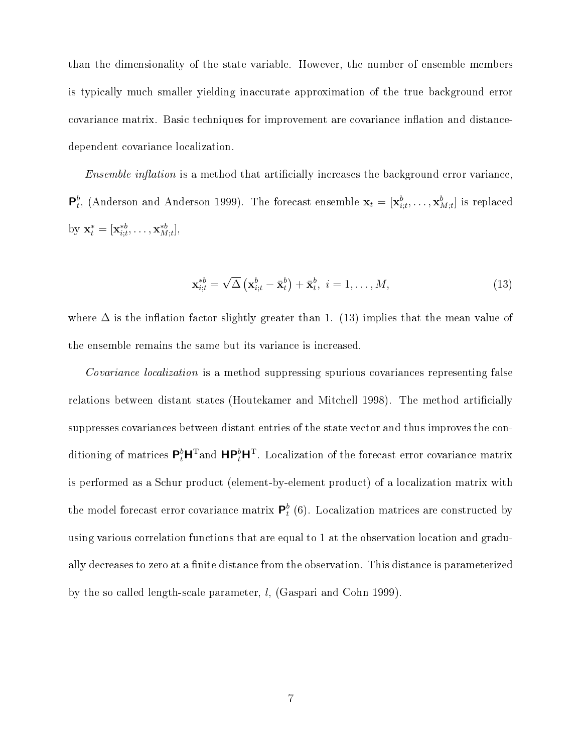than the dimensionality of the state variable. However, the number of ensemble members is typically much smaller yielding inaccurate approximation of the true background error covariance matrix. Basic techniques for improvement are covariance inflation and distancedependent covariance localization.

*Ensemble inflation* is a method that artificially increases the background error variance,  $\mathsf{P}^b_t$  $_t^b$ , (Anderson and Anderson 1999). The forecast ensemble  $\mathbf{x}_t = [\mathbf{x}_{i;t}^b, \dots, \mathbf{x}_{M;t}^b]$  is replaced by  $\mathbf{x}_{t}^{*} = [\mathbf{x}_{i;t}^{*b}, \ldots, \mathbf{x}_{M;t}^{*b}],$ 

$$
\mathbf{x}_{i;t}^{*b} = \sqrt{\Delta} \left( \mathbf{x}_{i;t}^b - \bar{\mathbf{x}}_t^b \right) + \bar{\mathbf{x}}_t^b, \ i = 1, \dots, M,
$$
\n(13)

where  $\Delta$  is the inflation factor slightly greater than 1. (13) implies that the mean value of the ensemble remains the same but its variance is increased.

Covariance localization is a method suppressing spurious covariances representing false relations between distant states (Houtekamer and Mitchell 1998). The method articially suppresses covariances between distant entries of the state vector and thus improves the conditioning of matrices  $\mathsf{P}_t^b\mathsf{H}^{\rm T}$ and  $\mathsf{H}\mathsf{P}_t^b\mathsf{H}^{\rm T}$ . Localization of the forecast error covariance matrix is performed as a Schur product (element-by-element product) of a localization matrix with the model forecast error covariance matrix  $\mathsf{P}_t^b$  $_{t}^{b}$  (6). Localization matrices are constructed by using various correlation functions that are equal to 1 at the observation location and gradually decreases to zero at a finite distance from the observation. This distance is parameterized by the so called length-scale parameter, l, (Gaspari and Cohn 1999).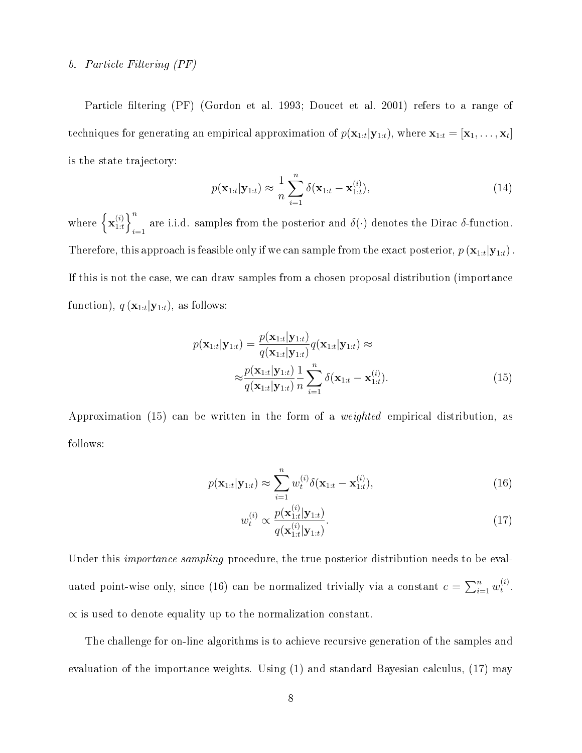### b. Particle Filtering (PF)

Particle filtering (PF) (Gordon et al. 1993; Doucet et al. 2001) refers to a range of techniques for generating an empirical approximation of  $p(\mathbf{x}_{1:t}|\mathbf{y}_{1:t})$ , where  $\mathbf{x}_{1:t} = [\mathbf{x}_1,\ldots,\mathbf{x}_t]$ is the state trajectory:

$$
p(\mathbf{x}_{1:t}|\mathbf{y}_{1:t}) \approx \frac{1}{n} \sum_{i=1}^{n} \delta(\mathbf{x}_{1:t} - \mathbf{x}_{1:t}^{(i)}),
$$
\n(14)

where  $\{\mathbf{x}_{1:t}^{(i)}\}$  $\binom{i}{1:t}$ are i.i.d. samples from the posterior and  $\delta(\cdot)$  denotes the Dirac  $\delta$ -function. Therefore, this approach is feasible only if we can sample from the exact posterior,  $p\left(\mathbf{x}_{1:t} | \mathbf{y}_{1:t}\right)$  . If this is not the case, we can draw samples from a chosen proposal distribution (importance function),  $q(\mathbf{x}_{1:t}|\mathbf{y}_{1:t})$ , as follows:

$$
p(\mathbf{x}_{1:t}|\mathbf{y}_{1:t}) = \frac{p(\mathbf{x}_{1:t}|\mathbf{y}_{1:t})}{q(\mathbf{x}_{1:t}|\mathbf{y}_{1:t})}q(\mathbf{x}_{1:t}|\mathbf{y}_{1:t}) \approx
$$

$$
\approx \frac{p(\mathbf{x}_{1:t}|\mathbf{y}_{1:t})}{q(\mathbf{x}_{1:t}|\mathbf{y}_{1:t})} \frac{1}{n} \sum_{i=1}^{n} \delta(\mathbf{x}_{1:t} - \mathbf{x}_{1:t}^{(i)}).
$$
(15)

Approximation (15) can be written in the form of a weighted empirical distribution, as follows:

$$
p(\mathbf{x}_{1:t}|\mathbf{y}_{1:t}) \approx \sum_{i=1}^{n} w_t^{(i)} \delta(\mathbf{x}_{1:t} - \mathbf{x}_{1:t}^{(i)}),
$$
\n(16)

$$
w_t^{(i)} \propto \frac{p(\mathbf{x}_{1:t}^{(i)}|\mathbf{y}_{1:t})}{q(\mathbf{x}_{1:t}^{(i)}|\mathbf{y}_{1:t})}.
$$
 (17)

Under this *importance sampling* procedure, the true posterior distribution needs to be evaluated point-wise only, since (16) can be normalized trivially via a constant  $c = \sum_{i=1}^{n} w_t^{(i)}$  $\overset{(i)}{t}$  .  $\alpha$  is used to denote equality up to the normalization constant.

The challenge for on-line algorithms is to achieve recursive generation of the samples and evaluation of the importance weights. Using (1) and standard Bayesian calculus, (17) may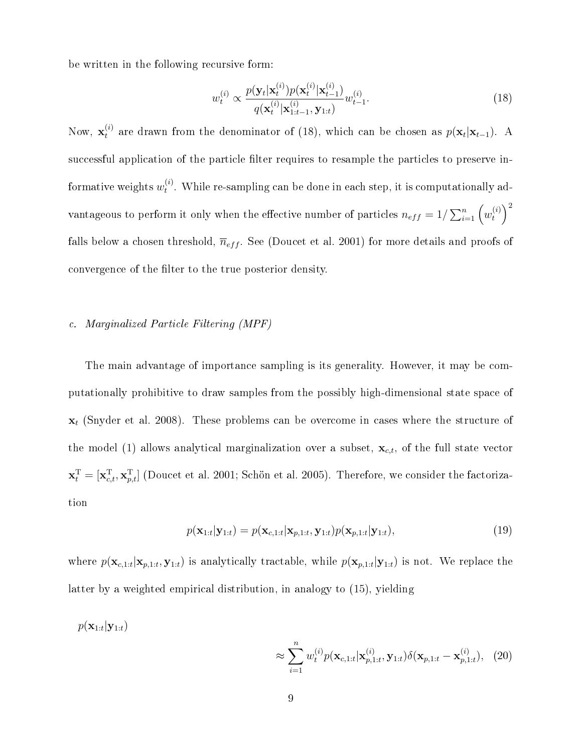be written in the following recursive form:

$$
w_t^{(i)} \propto \frac{p(\mathbf{y}_t|\mathbf{x}_t^{(i)})p(\mathbf{x}_t^{(i)}|\mathbf{x}_{t-1}^{(i)})}{q(\mathbf{x}_t^{(i)}|\mathbf{x}_{1:t-1}^{(i)}, \mathbf{y}_{1:t})}w_{t-1}^{(i)}.
$$
 (18)

Now,  $\mathbf{x}_t^{(i)}$  are drawn from the denominator of (18), which can be chosen as  $p(\mathbf{x}_t|\mathbf{x}_{t-1})$ . A successful application of the particle filter requires to resample the particles to preserve informative weights  $w_t^{(i)}$  $t^{(i)}$ . While re-sampling can be done in each step, it is computationally advantageous to perform it only when the effective number of particles  $n_{eff}=1/\sum_{i=1}^{n}\left(w_{t}^{(i)}\right)$  $\binom{i}{t}^2$ falls below a chosen threshold,  $\overline{n}_{eff}$ . See (Doucet et al. 2001) for more details and proofs of convergence of the filter to the true posterior density.

### c. Marginalized Particle Filtering (MPF)

The main advantage of importance sampling is its generality. However, it may be computationally prohibitive to draw samples from the possibly high-dimensional state space of  $x_t$  (Snyder et al. 2008). These problems can be overcome in cases where the structure of the model (1) allows analytical marginalization over a subset,  $\mathbf{x}_{c,t}$ , of the full state vector  $\mathbf{x}_t^{\mathrm{T}} = [\mathbf{x}_{c,t}^{\mathrm{T}}, \mathbf{x}_{p,t}^{\mathrm{T}}]$  (Doucet et al. 2001; Schön et al. 2005). Therefore, we consider the factorization

$$
p(\mathbf{x}_{1:t}|\mathbf{y}_{1:t}) = p(\mathbf{x}_{c,1:t}|\mathbf{x}_{p,1:t}, \mathbf{y}_{1:t})p(\mathbf{x}_{p,1:t}|\mathbf{y}_{1:t}),
$$
\n(19)

where  $p(\mathbf{x}_{c,1:t}|\mathbf{x}_{p,1:t},\mathbf{y}_{1:t})$  is analytically tractable, while  $p(\mathbf{x}_{p,1:t}|\mathbf{y}_{1:t})$  is not. We replace the latter by a weighted empirical distribution, in analogy to (15), yielding

$$
p(\mathbf{x}_{1:t}|\mathbf{y}_{1:t})
$$

$$
\approx \sum_{i=1}^{n} w_t^{(i)} p(\mathbf{x}_{c,1:t}|\mathbf{x}_{p,1:t}^{(i)}, \mathbf{y}_{1:t}) \delta(\mathbf{x}_{p,1:t} - \mathbf{x}_{p,1:t}^{(i)}), (20)
$$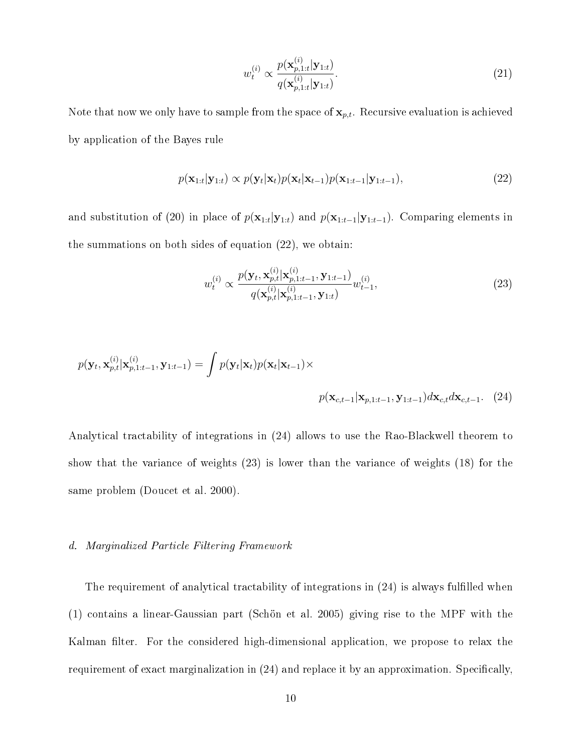$$
w_t^{(i)} \propto \frac{p(\mathbf{x}_{p,1:t}^{(i)}|\mathbf{y}_{1:t})}{q(\mathbf{x}_{p,1:t}^{(i)}|\mathbf{y}_{1:t})}.
$$
\n(21)

Note that now we only have to sample from the space of  $\mathbf{x}_{p,t}$ . Recursive evaluation is achieved by application of the Bayes rule

$$
p(\mathbf{x}_{1:t}|\mathbf{y}_{1:t}) \propto p(\mathbf{y}_t|\mathbf{x}_t)p(\mathbf{x}_t|\mathbf{x}_{t-1})p(\mathbf{x}_{1:t-1}|\mathbf{y}_{1:t-1}),
$$
\n(22)

and substitution of (20) in place of  $p(\mathbf{x}_{1:t}|\mathbf{y}_{1:t})$  and  $p(\mathbf{x}_{1:t-1}|\mathbf{y}_{1:t-1})$ . Comparing elements in the summations on both sides of equation (22), we obtain:

$$
w_t^{(i)} \propto \frac{p(\mathbf{y}_t, \mathbf{x}_{p,t}^{(i)} | \mathbf{x}_{p,1:t-1}^{(i)}, \mathbf{y}_{1:t-1})}{q(\mathbf{x}_{p,t}^{(i)} | \mathbf{x}_{p,1:t-1}^{(i)}, \mathbf{y}_{1:t})} w_{t-1}^{(i)},
$$
\n(23)

$$
p(\mathbf{y}_t, \mathbf{x}_{p,t}^{(i)} | \mathbf{x}_{p,1:t-1}^{(i)}, \mathbf{y}_{1:t-1}) = \int p(\mathbf{y}_t | \mathbf{x}_t) p(\mathbf{x}_t | \mathbf{x}_{t-1}) \times
$$
  

$$
p(\mathbf{x}_{c,t-1} | \mathbf{x}_{p,1:t-1}, \mathbf{y}_{1:t-1}) d\mathbf{x}_{c,t} d\mathbf{x}_{c,t-1}. \quad (24)
$$

Analytical tractability of integrations in (24) allows to use the Rao-Blackwell theorem to show that the variance of weights (23) is lower than the variance of weights (18) for the same problem (Doucet et al. 2000).

#### d. Marginalized Particle Filtering Framework

The requirement of analytical tractability of integrations in (24) is always fullled when (1) contains a linear-Gaussian part (Schön et al. 2005) giving rise to the MPF with the Kalman filter. For the considered high-dimensional application, we propose to relax the requirement of exact marginalization in  $(24)$  and replace it by an approximation. Specifically,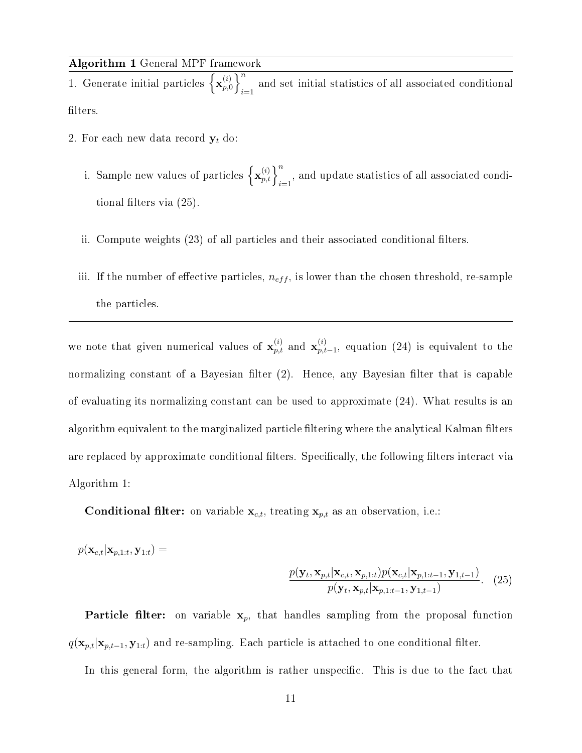| Algorithm 1 General MPF framework |  |  |  |  |
|-----------------------------------|--|--|--|--|
|-----------------------------------|--|--|--|--|

1. Generate initial particles  $\left\{ \mathbf{x}_{n}^{(i)} \right\}$  $\overline{p\left( i\right) }$   $\overline{p}\left( i\right)$ and set initial statistics of all associated conditional filters.

- 2. For each new data record  $y_t$  do:
	- i. Sample new values of particles  $\left\{\mathbf{x}_{p,t}^{(i)}\right\}_{i=1}^n$ , and update statistics of all associated conditional filters via  $(25)$ .
	- ii. Compute weights (23) of all particles and their associated conditional filters.
	- iii. If the number of effective particles,  $n_{eff}$ , is lower than the chosen threshold, re-sample the particles.

we note that given numerical values of  $\mathbf{x}_{p,t}^{(i)}$  and  $\mathbf{x}_{p,t}^{(i)}$  $_{p,t-1}^{(i)}$ , equation (24) is equivalent to the normalizing constant of a Bayesian filter  $(2)$ . Hence, any Bayesian filter that is capable of evaluating its normalizing constant can be used to approximate (24). What results is an algorithm equivalent to the marginalized particle filtering where the analytical Kalman filters are replaced by approximate conditional filters. Specifically, the following filters interact via Algorithm 1:

**Conditional filter:** on variable  $\mathbf{x}_{c,t}$ , treating  $\mathbf{x}_{p,t}$  as an observation, i.e.:

$$
p(\mathbf{x}_{c,t}|\mathbf{x}_{p,1:t},\mathbf{y}_{1:t}) =
$$
  

$$
\frac{p(\mathbf{y}_t,\mathbf{x}_{p,t}|\mathbf{x}_{c,t},\mathbf{x}_{p,1:t})p(\mathbf{x}_{c,t}|\mathbf{x}_{p,1:t-1},\mathbf{y}_{1,t-1})}{p(\mathbf{y}_t,\mathbf{x}_{p,t}|\mathbf{x}_{p,1:t-1},\mathbf{y}_{1,t-1})}.
$$
 (25)

**Particle filter:** on variable  $x_p$ , that handles sampling from the proposal function  $q(\mathbf{x}_{p,t}|\mathbf{x}_{p,t-1}, \mathbf{y}_{1:t})$  and re-sampling. Each particle is attached to one conditional filter.

In this general form, the algorithm is rather unspecific. This is due to the fact that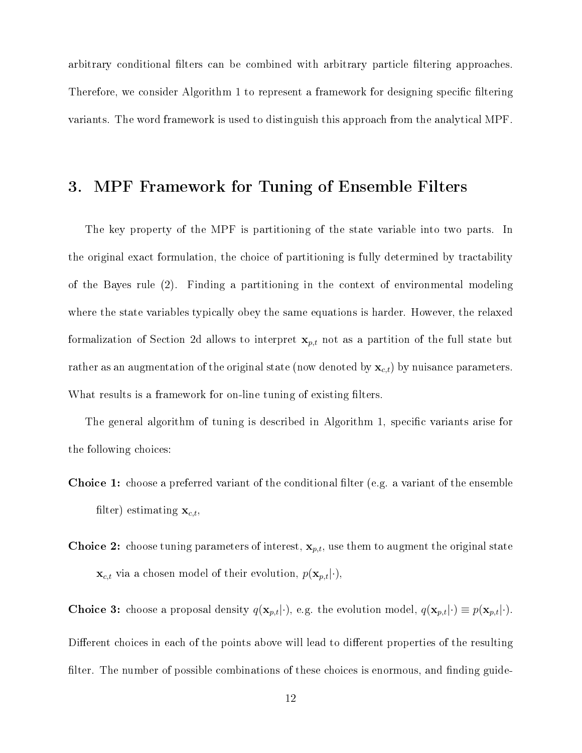arbitrary conditional filters can be combined with arbitrary particle filtering approaches. Therefore, we consider Algorithm 1 to represent a framework for designing specific filtering variants. The word framework is used to distinguish this approach from the analytical MPF.

## 3. MPF Framework for Tuning of Ensemble Filters

The key property of the MPF is partitioning of the state variable into two parts. In the original exact formulation, the choice of partitioning is fully determined by tractability of the Bayes rule (2). Finding a partitioning in the context of environmental modeling where the state variables typically obey the same equations is harder. However, the relaxed formalization of Section 2d allows to interpret  $x_{p,t}$  not as a partition of the full state but rather as an augmentation of the original state (now denoted by  $\mathbf{x}_{c,t}$ ) by nuisance parameters. What results is a framework for on-line tuning of existing filters.

The general algorithm of tuning is described in Algorithm 1, specific variants arise for the following choices:

- **Choice 1:** choose a preferred variant of the conditional filter (e.g. a variant of the ensemble filter) estimating  $\mathbf{x}_{c,t}$ ,
- **Choice 2:** choose tuning parameters of interest,  $\mathbf{x}_{p,t}$ , use them to augment the original state  $\mathbf{x}_{c,t}$  via a chosen model of their evolution,  $p(\mathbf{x}_{p,t}|\cdot)$ ,

**Choice 3:** choose a proposal density  $q(\mathbf{x}_{p,t}|\cdot)$ , e.g. the evolution model,  $q(\mathbf{x}_{p,t}|\cdot) \equiv p(\mathbf{x}_{p,t}|\cdot)$ . Different choices in each of the points above will lead to different properties of the resulting filter. The number of possible combinations of these choices is enormous, and finding guide-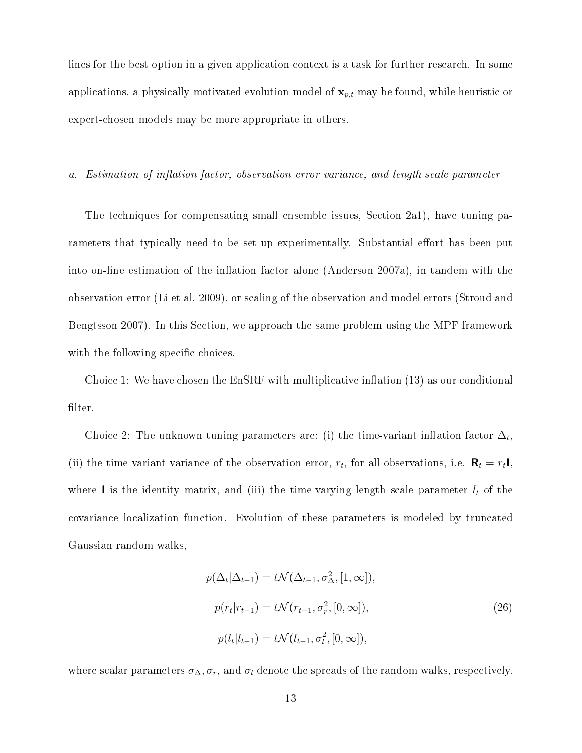lines for the best option in a given application context is a task for further research. In some applications, a physically motivated evolution model of  $\mathbf{x}_{p,t}$  may be found, while heuristic or expert-chosen models may be more appropriate in others.

a. Estimation of inflation factor, observation error variance, and length scale parameter

The techniques for compensating small ensemble issues, Section 2a1), have tuning parameters that typically need to be set-up experimentally. Substantial effort has been put into on-line estimation of the inflation factor alone (Anderson  $2007a$ ), in tandem with the observation error (Li et al. 2009), or scaling of the observation and model errors (Stroud and Bengtsson 2007). In this Section, we approach the same problem using the MPF framework with the following specific choices.

Choice 1: We have chosen the  $EnSRF$  with multiplicative inflation  $(13)$  as our conditional filter.

Choice 2: The unknown tuning parameters are: (i) the time-variant inflation factor  $\Delta_t$ , (ii) the time-variant variance of the observation error,  $r_t$ , for all observations, i.e.  $\mathbf{R}_t = r_t \mathbf{I}$ , where I is the identity matrix, and (iii) the time-varying length scale parameter  $l_t$  of the covariance localization function. Evolution of these parameters is modeled by truncated Gaussian random walks,

$$
p(\Delta_t | \Delta_{t-1}) = t \mathcal{N}(\Delta_{t-1}, \sigma_{\Delta}^2, [1, \infty]),
$$
  
\n
$$
p(r_t | r_{t-1}) = t \mathcal{N}(r_{t-1}, \sigma_r^2, [0, \infty]),
$$
  
\n
$$
p(l_t | l_{t-1}) = t \mathcal{N}(l_{t-1}, \sigma_t^2, [0, \infty]),
$$
\n(26)

where scalar parameters  $\sigma_{\Delta}$ ,  $\sigma_r$ , and  $\sigma_l$  denote the spreads of the random walks, respectively.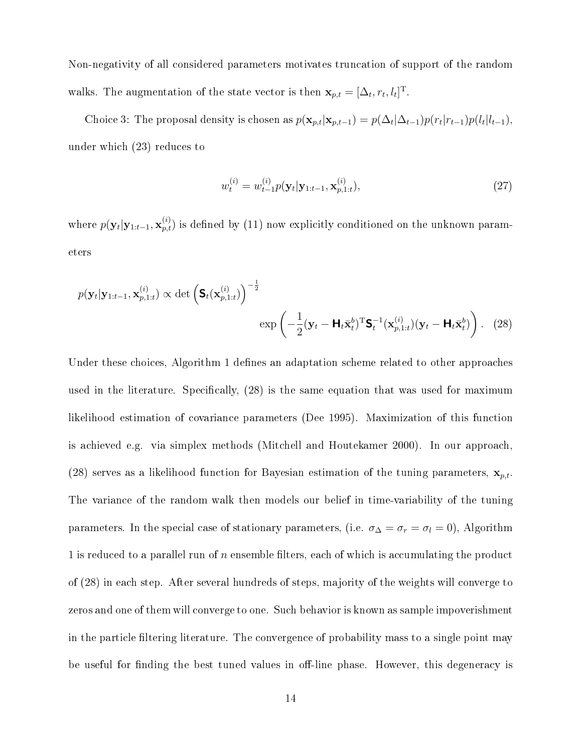Non-negativity of all considered parameters motivates truncation of support of the random walks. The augmentation of the state vector is then  $\mathbf{x}_{p,t} = [\Delta_t, r_t, l_t]^{\mathrm{T}}$ .

Choice 3: The proposal density is chosen as  $p(\mathbf{x}_{p,t}|\mathbf{x}_{p,t-1}) = p(\Delta_t|\Delta_{t-1})p(r_t|r_{t-1})p(l_t|l_{t-1}),$ under which (23) reduces to

$$
w_t^{(i)} = w_{t-1}^{(i)} p(\mathbf{y}_t | \mathbf{y}_{1:t-1}, \mathbf{x}_{p,1:t}^{(i)}),
$$
\n(27)

where  $p(\mathbf{y}_t|\mathbf{y}_{1:t-1},\mathbf{x}_{p,t}^{(i)})$  is defined by (11) now explicitly conditioned on the unknown parameters

$$
p(\mathbf{y}_t|\mathbf{y}_{1:t-1},\mathbf{x}_{p,1:t}^{(i)}) \propto \det\left(\mathbf{S}_t(\mathbf{x}_{p,1:t}^{(i)})\right)^{-\frac{1}{2}}
$$

$$
\exp\left(-\frac{1}{2}(\mathbf{y}_t-\mathbf{H}_t\bar{\mathbf{x}}_t^{b})^{\mathrm{T}}\mathbf{S}_t^{-1}(\mathbf{x}_{p,1:t}^{(i)})(\mathbf{y}_t-\mathbf{H}_t\bar{\mathbf{x}}_t^{b})\right). \quad (28)
$$

Under these choices, Algorithm 1 defines an adaptation scheme related to other approaches used in the literature. Specifically,  $(28)$  is the same equation that was used for maximum likelihood estimation of covariance parameters (Dee 1995). Maximization of this function is achieved e.g. via simplex methods (Mitchell and Houtekamer 2000). In our approach, (28) serves as a likelihood function for Bayesian estimation of the tuning parameters,  $\mathbf{x}_{p,t}$ . The variance of the random walk then models our belief in time-variability of the tuning parameters. In the special case of stationary parameters, (i.e.  $\sigma_{\Delta} = \sigma_r = \sigma_l = 0$ ), Algorithm 1 is reduced to a parallel run of  $n$  ensemble filters, each of which is accumulating the product of (28) in each step. After several hundreds of steps, majority of the weights will converge to zeros and one of them will converge to one. Such behavior is known as sample impoverishment in the particle filtering literature. The convergence of probability mass to a single point may be useful for finding the best tuned values in off-line phase. However, this degeneracy is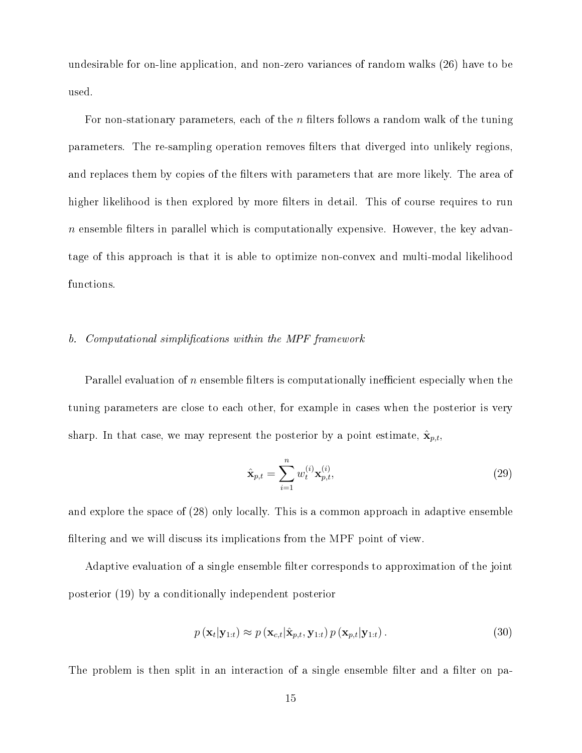undesirable for on-line application, and non-zero variances of random walks (26) have to be used.

For non-stationary parameters, each of the n filters follows a random walk of the tuning parameters. The re-sampling operation removes filters that diverged into unlikely regions, and replaces them by copies of the filters with parameters that are more likely. The area of higher likelihood is then explored by more filters in detail. This of course requires to run  $n$  ensemble filters in parallel which is computationally expensive. However, the key advantage of this approach is that it is able to optimize non-convex and multi-modal likelihood functions.

### b. Computational simplifications within the MPF framework

Parallel evaluation of n ensemble filters is computationally inefficient especially when the tuning parameters are close to each other, for example in cases when the posterior is very sharp. In that case, we may represent the posterior by a point estimate,  $\hat{\mathbf{x}}_{p,t}$ ,

$$
\hat{\mathbf{x}}_{p,t} = \sum_{i=1}^{n} w_t^{(i)} \mathbf{x}_{p,t}^{(i)},
$$
\n(29)

and explore the space of (28) only locally. This is a common approach in adaptive ensemble filtering and we will discuss its implications from the MPF point of view.

Adaptive evaluation of a single ensemble filter corresponds to approximation of the joint posterior (19) by a conditionally independent posterior

$$
p\left(\mathbf{x}_t|\mathbf{y}_{1:t}\right) \approx p\left(\mathbf{x}_{c,t}|\hat{\mathbf{x}}_{p,t},\mathbf{y}_{1:t}\right)p\left(\mathbf{x}_{p,t}|\mathbf{y}_{1:t}\right).
$$
\n(30)

The problem is then split in an interaction of a single ensemble filter and a filter on pa-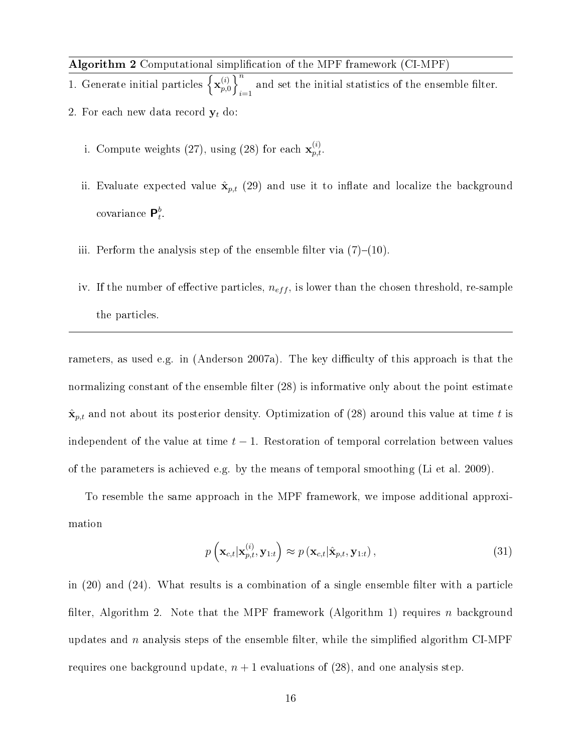Algorithm 2 Computational simplication of the MPF framework (CI-MPF)

1. Generate initial particles  $\left\{ \mathbf{x}_{n}^{(i)} \right\}$  $\overline{p\choose p}$ and set the initial statistics of the ensemble filter. 2. For each new data record  $y_t$  do:

- i. Compute weights (27), using (28) for each  $\mathbf{x}_{p,t}^{(i)}$ .
- ii. Evaluate expected value  $\hat{\mathbf{x}}_{p,t}$  (29) and use it to inflate and localize the background covariance  $\mathsf{P}_t^b$  $\frac{b}{t}$
- iii. Perform the analysis step of the ensemble filter via  $(7)-(10)$ .
- iv. If the number of effective particles,  $n_{eff}$ , is lower than the chosen threshold, re-sample the particles.

rameters, as used e.g. in (Anderson 2007a). The key difficulty of this approach is that the normalizing constant of the ensemble filter (28) is informative only about the point estimate  $\hat{\mathbf{x}}_{p,t}$  and not about its posterior density. Optimization of (28) around this value at time t is independent of the value at time  $t - 1$ . Restoration of temporal correlation between values of the parameters is achieved e.g. by the means of temporal smoothing (Li et al. 2009).

To resemble the same approach in the MPF framework, we impose additional approximation

$$
p\left(\mathbf{x}_{c,t}|\mathbf{x}_{p,t}^{(i)},\mathbf{y}_{1:t}\right) \approx p\left(\mathbf{x}_{c,t}|\hat{\mathbf{x}}_{p,t},\mathbf{y}_{1:t}\right),\tag{31}
$$

in  $(20)$  and  $(24)$ . What results is a combination of a single ensemble filter with a particle filter, Algorithm 2. Note that the MPF framework (Algorithm 1) requires n background updates and  $n$  analysis steps of the ensemble filter, while the simplified algorithm CI-MPF requires one background update,  $n + 1$  evaluations of (28), and one analysis step.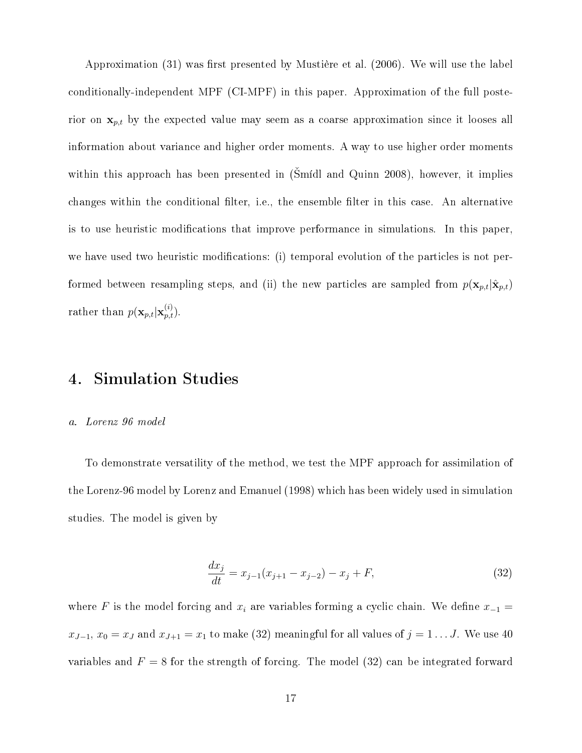Approximation  $(31)$  was first presented by Mustière et al.  $(2006)$ . We will use the label conditionally-independent MPF (CI-MPF) in this paper. Approximation of the full posterior on  $x_{p,t}$  by the expected value may seem as a coarse approximation since it looses all information about variance and higher order moments. A way to use higher order moments within this approach has been presented in  $(Sm/d)$  and Quinn 2008), however, it implies changes within the conditional filter, i.e., the ensemble filter in this case. An alternative is to use heuristic modifications that improve performance in simulations. In this paper, we have used two heuristic modifications: (i) temporal evolution of the particles is not performed between resampling steps, and (ii) the new particles are sampled from  $p(\mathbf{x}_{p,t}|\hat{\mathbf{x}}_{p,t})$ rather than  $p(\mathbf{x}_{p,t}|\mathbf{x}_{p,t}^{(i)})$ .

## 4. Simulation Studies

#### a. Lorenz 96 model

To demonstrate versatility of the method, we test the MPF approach for assimilation of the Lorenz-96 model by Lorenz and Emanuel (1998) which has been widely used in simulation studies. The model is given by

$$
\frac{dx_j}{dt} = x_{j-1}(x_{j+1} - x_{j-2}) - x_j + F,\tag{32}
$$

where F is the model forcing and  $x_i$  are variables forming a cyclic chain. We define  $x_{-1} =$  $x_{J-1}, x_0 = x_J$  and  $x_{J+1} = x_1$  to make (32) meaningful for all values of  $j = 1 \dots J$ . We use 40 variables and  $F = 8$  for the strength of forcing. The model (32) can be integrated forward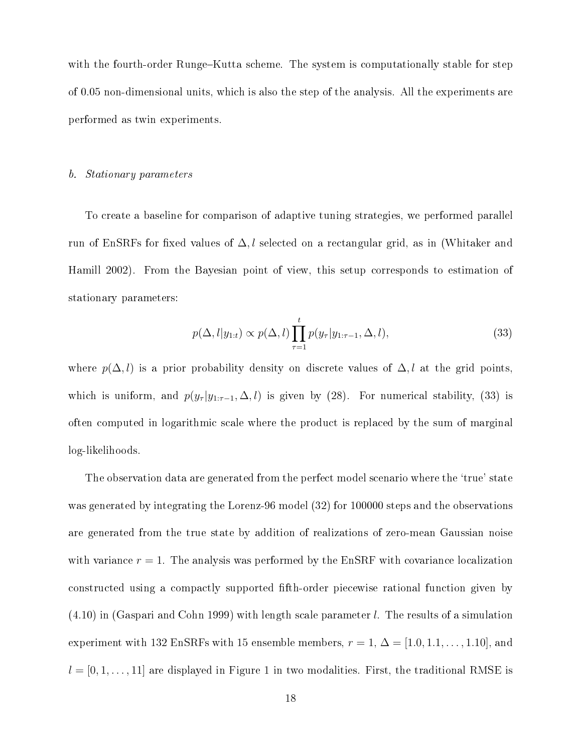with the fourth-order Runge–Kutta scheme. The system is computationally stable for step of 0.05 non-dimensional units, which is also the step of the analysis. All the experiments are performed as twin experiments.

#### b. Stationary parameters

To create a baseline for comparison of adaptive tuning strategies, we performed parallel run of EnSRFs for fixed values of  $\Delta, l$  selected on a rectangular grid, as in (Whitaker and Hamill 2002). From the Bayesian point of view, this setup corresponds to estimation of stationary parameters:

$$
p(\Delta, l|y_{1:t}) \propto p(\Delta, l) \prod_{\tau=1}^{t} p(y_{\tau}|y_{1:\tau-1}, \Delta, l), \qquad (33)
$$

where  $p(\Delta, l)$  is a prior probability density on discrete values of  $\Delta, l$  at the grid points, which is uniform, and  $p(y_\tau | y_{1:\tau-1}, \Delta, l)$  is given by (28). For numerical stability, (33) is often computed in logarithmic scale where the product is replaced by the sum of marginal log-likelihoods.

The observation data are generated from the perfect model scenario where the 'true' state was generated by integrating the Lorenz-96 model (32) for 100000 steps and the observations are generated from the true state by addition of realizations of zero-mean Gaussian noise with variance  $r = 1$ . The analysis was performed by the EnSRF with covariance localization constructed using a compactly supported fth-order piecewise rational function given by  $(4.10)$  in (Gaspari and Cohn 1999) with length scale parameter l. The results of a simulation experiment with 132 EnSRFs with 15 ensemble members,  $r = 1, \Delta = [1.0, 1.1, \ldots, 1.10]$ , and  $l = [0, 1, \ldots, 11]$  are displayed in Figure 1 in two modalities. First, the traditional RMSE is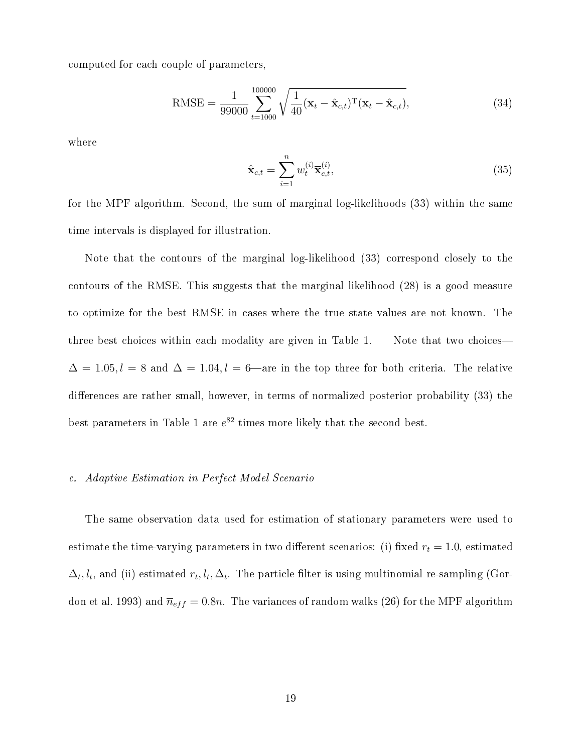computed for each couple of parameters,

RMSE = 
$$
\frac{1}{99000} \sum_{t=1000}^{100000} \sqrt{\frac{1}{40} (\mathbf{x}_t - \hat{\mathbf{x}}_{c,t})^{\mathrm{T}} (\mathbf{x}_t - \hat{\mathbf{x}}_{c,t})},
$$
(34)

where

$$
\hat{\mathbf{x}}_{c,t} = \sum_{i=1}^{n} w_t^{(i)} \overline{\mathbf{x}}_{c,t}^{(i)},
$$
\n(35)

for the MPF algorithm. Second, the sum of marginal log-likelihoods (33) within the same time intervals is displayed for illustration.

Note that the contours of the marginal log-likelihood (33) correspond closely to the contours of the RMSE. This suggests that the marginal likelihood (28) is a good measure to optimize for the best RMSE in cases where the true state values are not known. The three best choices within each modality are given in Table 1. Note that two choices  $\Delta = 1.05, l = 8$  and  $\Delta = 1.04, l = 6$ —are in the top three for both criteria. The relative differences are rather small, however, in terms of normalized posterior probability (33) the best parameters in Table 1 are  $e^{82}$  times more likely that the second best.

#### c. Adaptive Estimation in Perfect Model Scenario

The same observation data used for estimation of stationary parameters were used to estimate the time-varying parameters in two different scenarios: (i) fixed  $r_t = 1.0$ , estimated  $\Delta_t, l_t$ , and (ii) estimated  $r_t, l_t, \Delta_t$ . The particle filter is using multinomial re-sampling (Gordon et al. 1993) and  $\bar{n}_{eff} = 0.8n$ . The variances of random walks (26) for the MPF algorithm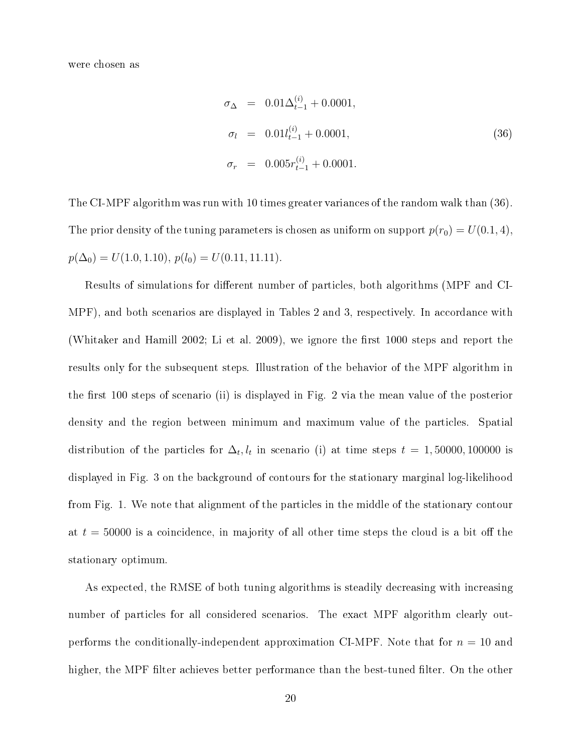were chosen as

$$
\sigma_{\Delta} = 0.01 \Delta_{t-1}^{(i)} + 0.0001,
$$
  
\n
$$
\sigma_{l} = 0.01 l_{t-1}^{(i)} + 0.0001,
$$
  
\n
$$
\sigma_{r} = 0.005 r_{t-1}^{(i)} + 0.0001.
$$
\n(36)

The CI-MPF algorithm was run with 10 times greater variances of the random walk than (36). The prior density of the tuning parameters is chosen as uniform on support  $p(r_0) = U(0.1, 4)$ ,  $p(\Delta_0) = U(1.0, 1.10), p(l_0) = U(0.11, 11.11).$ 

Results of simulations for different number of particles, both algorithms (MPF and CI-MPF), and both scenarios are displayed in Tables 2 and 3, respectively. In accordance with (Whitaker and Hamill 2002; Li et al. 2009), we ignore the first  $1000$  steps and report the results only for the subsequent steps. Illustration of the behavior of the MPF algorithm in the first 100 steps of scenario (ii) is displayed in Fig. 2 via the mean value of the posterior density and the region between minimum and maximum value of the particles. Spatial distribution of the particles for  $\Delta_t, l_t$  in scenario (i) at time steps  $t = 1,50000,100000$  is displayed in Fig. 3 on the background of contours for the stationary marginal log-likelihood from Fig. 1. We note that alignment of the particles in the middle of the stationary contour at  $t = 50000$  is a coincidence, in majority of all other time steps the cloud is a bit off the stationary optimum.

As expected, the RMSE of both tuning algorithms is steadily decreasing with increasing number of particles for all considered scenarios. The exact MPF algorithm clearly outperforms the conditionally-independent approximation CI-MPF. Note that for  $n = 10$  and higher, the MPF filter achieves better performance than the best-tuned filter. On the other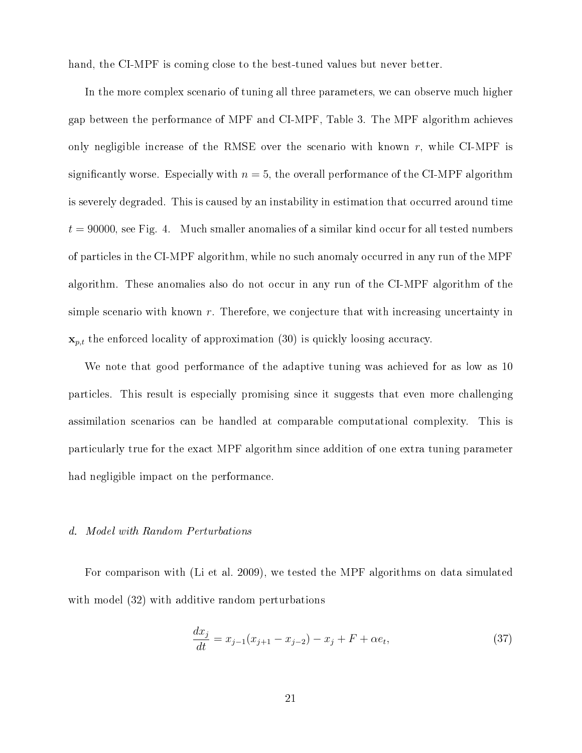hand, the CI-MPF is coming close to the best-tuned values but never better.

In the more complex scenario of tuning all three parameters, we can observe much higher gap between the performance of MPF and CI-MPF, Table 3. The MPF algorithm achieves only negligible increase of the RMSE over the scenario with known  $r$ , while CI-MPF is significantly worse. Especially with  $n = 5$ , the overall performance of the CI-MPF algorithm is severely degraded. This is caused by an instability in estimation that occurred around time  $t = 90000$ , see Fig. 4. Much smaller anomalies of a similar kind occur for all tested numbers of particles in the CI-MPF algorithm, while no such anomaly occurred in any run of the MPF algorithm. These anomalies also do not occur in any run of the CI-MPF algorithm of the simple scenario with known  $r$ . Therefore, we conjecture that with increasing uncertainty in  $\mathbf{x}_{p,t}$  the enforced locality of approximation (30) is quickly loosing accuracy.

We note that good performance of the adaptive tuning was achieved for as low as 10 particles. This result is especially promising since it suggests that even more challenging assimilation scenarios can be handled at comparable computational complexity. This is particularly true for the exact MPF algorithm since addition of one extra tuning parameter had negligible impact on the performance.

#### d. Model with Random Perturbations

For comparison with (Li et al. 2009), we tested the MPF algorithms on data simulated with model  $(32)$  with additive random perturbations

$$
\frac{dx_j}{dt} = x_{j-1}(x_{j+1} - x_{j-2}) - x_j + F + \alpha e_t,
$$
\n(37)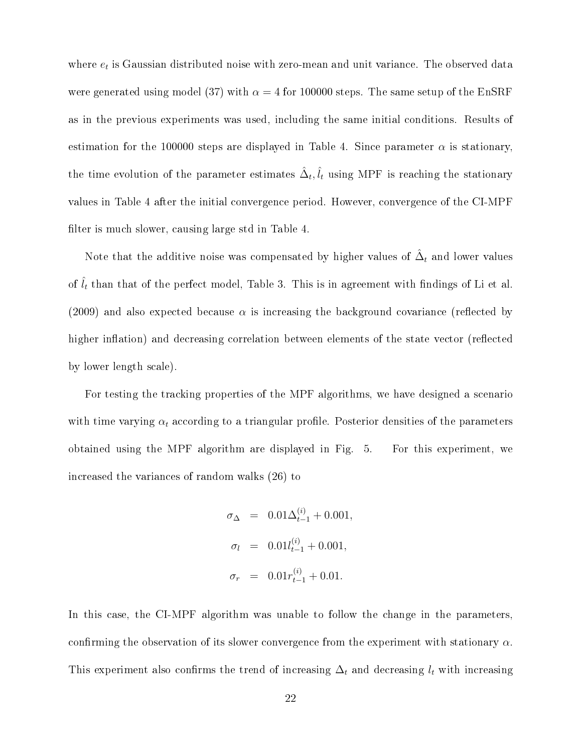where  $e_t$  is Gaussian distributed noise with zero-mean and unit variance. The observed data were generated using model (37) with  $\alpha = 4$  for 100000 steps. The same setup of the EnSRF as in the previous experiments was used, including the same initial conditions. Results of estimation for the 100000 steps are displayed in Table 4. Since parameter  $\alpha$  is stationary, the time evolution of the parameter estimates  $\hat{\Delta}_t, \hat{l}_t$  using MPF is reaching the stationary values in Table 4 after the initial convergence period. However, convergence of the CI-MPF filter is much slower, causing large std in Table 4.

Note that the additive noise was compensated by higher values of  $\hat{\Delta}_t$  and lower values of  $\hat{l}_t$  than that of the perfect model, Table 3. This is in agreement with findings of Li et al. (2009) and also expected because  $\alpha$  is increasing the background covariance (reflected by higher inflation) and decreasing correlation between elements of the state vector (reflected by lower length scale).

For testing the tracking properties of the MPF algorithms, we have designed a scenario with time varying  $\alpha_t$  according to a triangular profile. Posterior densities of the parameters obtained using the MPF algorithm are displayed in Fig. 5. For this experiment, we increased the variances of random walks (26) to

> $\sigma_{\Delta}$  = 0.01 $\Delta_{t-1}^{(i)}$  + 0.001,  $\sigma_l = 0.01 l_{t-1}^{(i)} + 0.001,$  $\sigma_r = 0.01 r_{t-1}^{(i)} + 0.01.$

In this case, the CI-MPF algorithm was unable to follow the change in the parameters, confirming the observation of its slower convergence from the experiment with stationary  $\alpha$ . This experiment also confirms the trend of increasing  $\Delta_t$  and decreasing  $l_t$  with increasing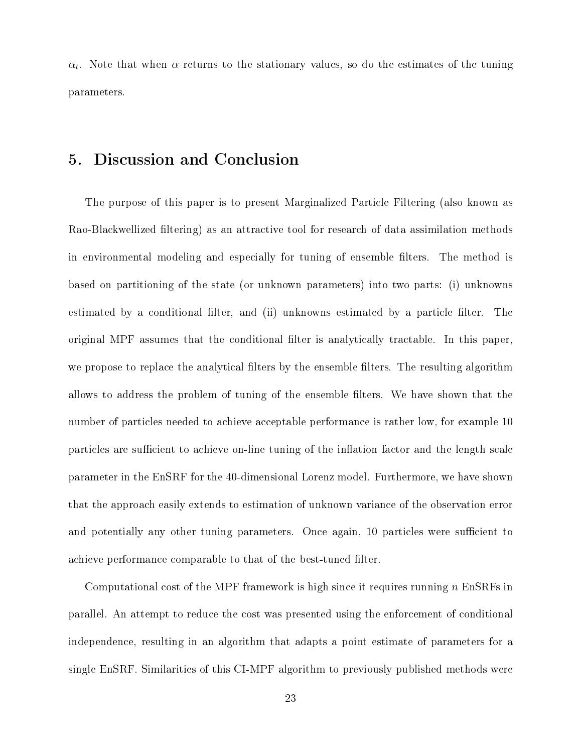$\alpha_t$ . Note that when  $\alpha$  returns to the stationary values, so do the estimates of the tuning parameters.

## 5. Discussion and Conclusion

The purpose of this paper is to present Marginalized Particle Filtering (also known as Rao-Blackwellized filtering) as an attractive tool for research of data assimilation methods in environmental modeling and especially for tuning of ensemble filters. The method is based on partitioning of the state (or unknown parameters) into two parts: (i) unknowns estimated by a conditional filter, and (ii) unknowns estimated by a particle filter. The original MPF assumes that the conditional filter is analytically tractable. In this paper, we propose to replace the analytical filters by the ensemble filters. The resulting algorithm allows to address the problem of tuning of the ensemble filters. We have shown that the number of particles needed to achieve acceptable performance is rather low, for example 10 particles are sufficient to achieve on-line tuning of the inflation factor and the length scale parameter in the EnSRF for the 40-dimensional Lorenz model. Furthermore, we have shown that the approach easily extends to estimation of unknown variance of the observation error and potentially any other tuning parameters. Once again, 10 particles were sufficient to achieve performance comparable to that of the best-tuned filter.

Computational cost of the MPF framework is high since it requires running  $n \text{ EnSRFs}$  in parallel. An attempt to reduce the cost was presented using the enforcement of conditional independence, resulting in an algorithm that adapts a point estimate of parameters for a single EnSRF. Similarities of this CI-MPF algorithm to previously published methods were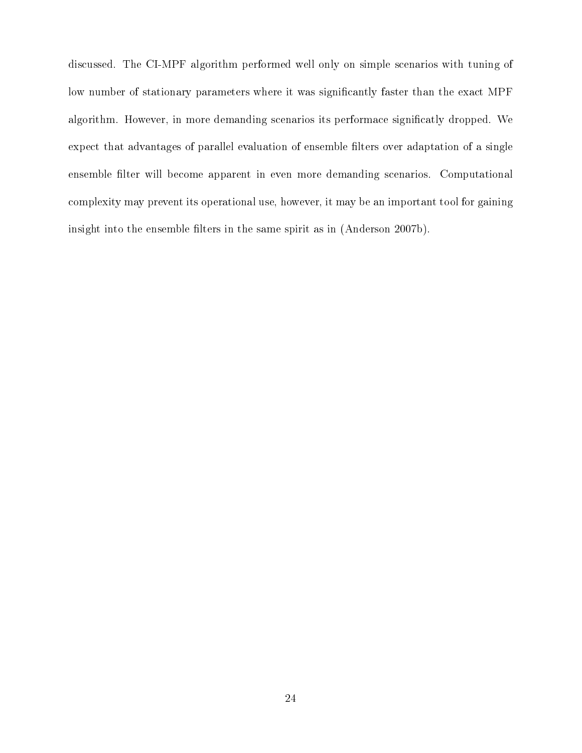discussed. The CI-MPF algorithm performed well only on simple scenarios with tuning of low number of stationary parameters where it was significantly faster than the exact MPF algorithm. However, in more demanding scenarios its performace significatly dropped. We expect that advantages of parallel evaluation of ensemble filters over adaptation of a single ensemble filter will become apparent in even more demanding scenarios. Computational complexity may prevent its operational use, however, it may be an important tool for gaining insight into the ensemble filters in the same spirit as in (Anderson 2007b).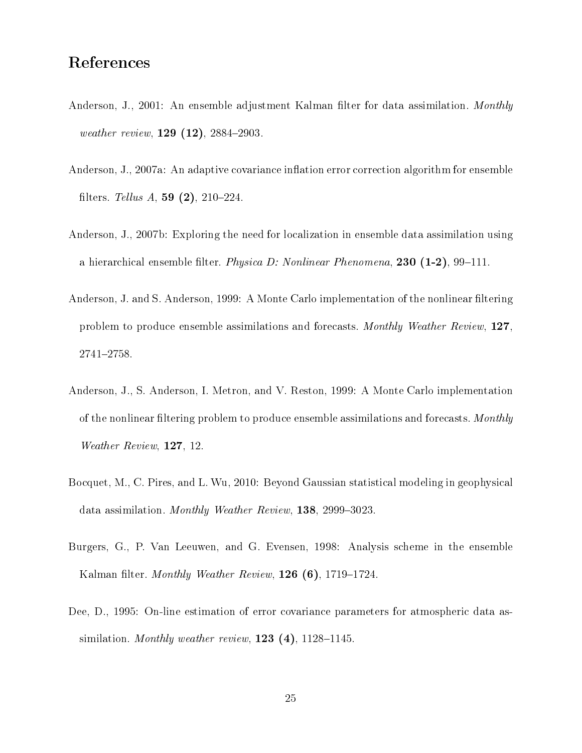## References

- Anderson, J., 2001: An ensemble adjustment Kalman filter for data assimilation. Monthly weather review,  $129(12)$ ,  $2884-2903$ .
- Anderson, J., 2007a: An adaptive covariance inflation error correction algorithm for ensemble filters. Tellus A, 59  $(2)$ , 210-224.
- Anderson, J., 2007b: Exploring the need for localization in ensemble data assimilation using a hierarchical ensemble filter. Physica D: Nonlinear Phenomena, 230  $(1-2)$ , 99-111.
- Anderson, J. and S. Anderson, 1999: A Monte Carlo implementation of the nonlinear filtering problem to produce ensemble assimilations and forecasts. Monthly Weather Review, 127, 2741-2758.
- Anderson, J., S. Anderson, I. Metron, and V. Reston, 1999: A Monte Carlo implementation of the nonlinear filtering problem to produce ensemble assimilations and forecasts. Monthly Weather Review, 127, 12.
- Bocquet, M., C. Pires, and L. Wu, 2010: Beyond Gaussian statistical modeling in geophysical data assimilation. Monthly Weather Review,  $138$ , 2999-3023.
- Burgers, G., P. Van Leeuwen, and G. Evensen, 1998: Analysis scheme in the ensemble Kalman filter. Monthly Weather Review,  $126(6)$ , 1719–1724.
- Dee, D., 1995: On-line estimation of error covariance parameters for atmospheric data assimilation. Monthly weather review,  $123(4)$ ,  $1128-1145$ .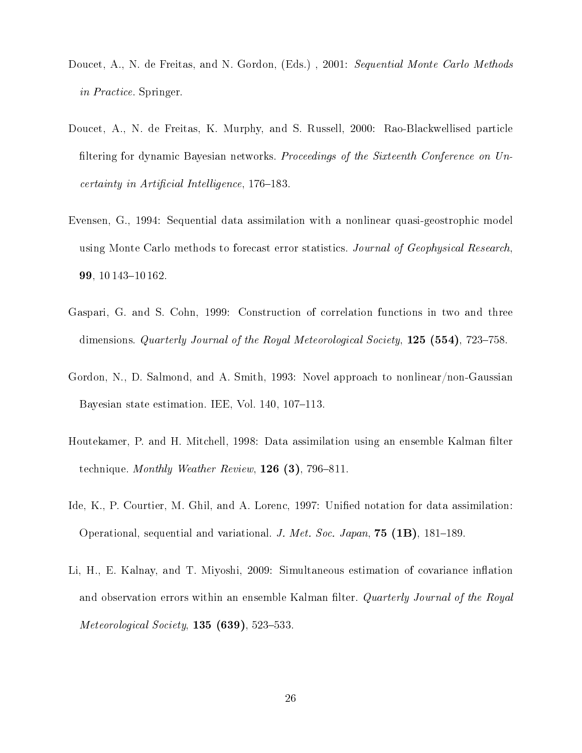- Doucet, A., N. de Freitas, and N. Gordon, (Eds.) , 2001: Sequential Monte Carlo Methods in Practice. Springer.
- Doucet, A., N. de Freitas, K. Murphy, and S. Russell, 2000: Rao-Blackwellised particle filtering for dynamic Bayesian networks. Proceedings of the Sixteenth Conference on Un $certainty$  in Artificial Intelligence, 176–183.
- Evensen, G., 1994: Sequential data assimilation with a nonlinear quasi-geostrophic model using Monte Carlo methods to forecast error statistics. Journal of Geophysical Research, 99, 10 143-10 162.
- Gaspari, G. and S. Cohn, 1999: Construction of correlation functions in two and three dimensions. Quarterly Journal of the Royal Meteorological Society,  $125$  (554), 723–758.
- Gordon, N., D. Salmond, and A. Smith, 1993: Novel approach to nonlinear/non-Gaussian Bayesian state estimation. IEE, Vol. 140, 107-113.
- Houtekamer, P. and H. Mitchell, 1998: Data assimilation using an ensemble Kalman filter technique. Monthly Weather Review,  $126$  (3), 796-811.
- Ide, K., P. Courtier, M. Ghil, and A. Lorenc, 1997: Unified notation for data assimilation: Operational, sequential and variational. J. Met. Soc. Japan,  $75$  (1B), 181–189.
- Li, H., E. Kalnay, and T. Miyoshi,  $2009$ : Simultaneous estimation of covariance inflation and observation errors within an ensemble Kalman filter. Quarterly Journal of the Royal Meteorological Society,  $135$  (639), 523-533.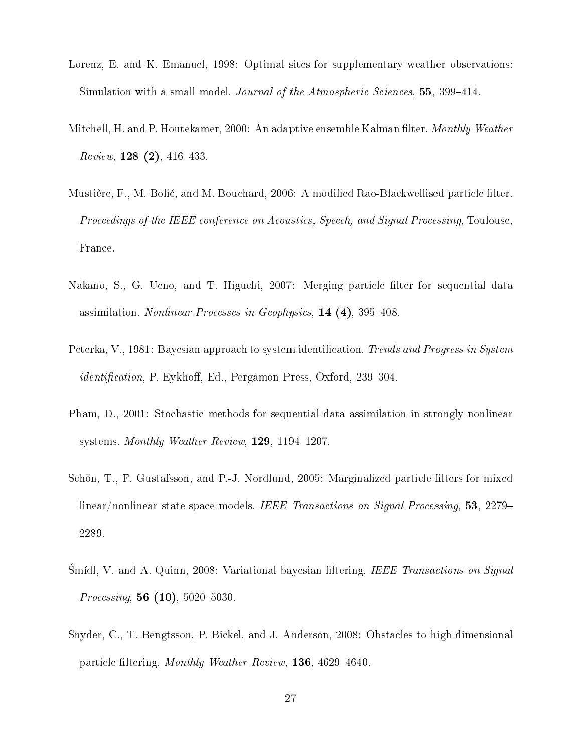- Lorenz, E. and K. Emanuel, 1998: Optimal sites for supplementary weather observations: Simulation with a small model. Journal of the Atmospheric Sciences, 55, 399–414.
- Mitchell, H. and P. Houtekamer, 2000: An adaptive ensemble Kalman filter. Monthly Weather  $Review, 128 (2), 416-433.$
- Mustière, F., M. Bolić, and M. Bouchard, 2006: A modified Rao-Blackwellised particle filter. Proceedings of the IEEE conference on Acoustics, Speech, and Signal Processing, Toulouse, France.
- Nakano, S., G. Ueno, and T. Higuchi, 2007: Merging particle filter for sequential data assimilation. Nonlinear Processes in Geophysics,  $14$  (4), 395–408.
- Peterka, V., 1981: Bayesian approach to system identification. Trends and Progress in System *identification*, P. Eykhoff, Ed., Pergamon Press, Oxford, 239–304.
- Pham, D., 2001: Stochastic methods for sequential data assimilation in strongly nonlinear systems. Monthly Weather Review,  $129$ ,  $1194-1207$ .
- Schön, T., F. Gustafsson, and P.-J. Nordlund, 2005: Marginalized particle filters for mixed linear/nonlinear state-space models. IEEE Transactions on Signal Processing, 53, 2279– 2289.
- Smídl, V. and A. Quinn, 2008: Variational bayesian filtering. IEEE Transactions on Signal *Processing*, 56  $(10)$ , 5020-5030.
- Snyder, C., T. Bengtsson, P. Bickel, and J. Anderson, 2008: Obstacles to high-dimensional particle filtering. Monthly Weather Review, 136, 4629-4640.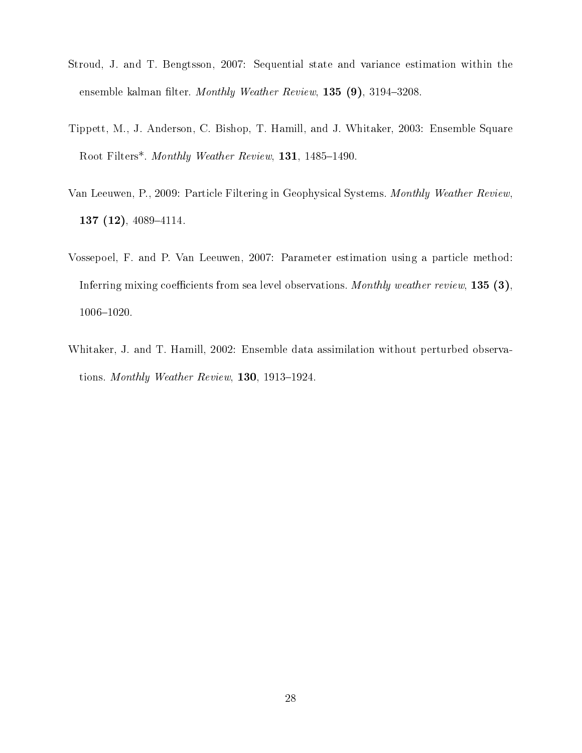- Stroud, J. and T. Bengtsson, 2007: Sequential state and variance estimation within the ensemble kalman filter. Monthly Weather Review,  $135$  (9),  $3194-3208$ .
- Tippett, M., J. Anderson, C. Bishop, T. Hamill, and J. Whitaker, 2003: Ensemble Square Root Filters\*. Monthly Weather Review, 131, 1485-1490.
- Van Leeuwen, P., 2009: Particle Filtering in Geophysical Systems. Monthly Weather Review, 137  $(12)$ , 4089-4114.
- Vossepoel, F. and P. Van Leeuwen, 2007: Parameter estimation using a particle method: Inferring mixing coefficients from sea level observations. Monthly weather review,  $135(3)$ ,  $1006 - 1020$ .
- Whitaker, J. and T. Hamill, 2002: Ensemble data assimilation without perturbed observations. Monthly Weather Review,  $130, 1913-1924$ .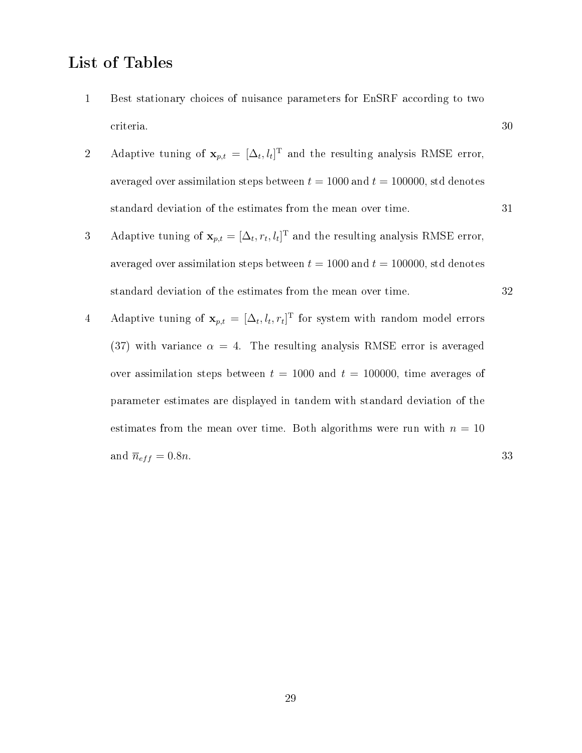## List of Tables

- 1 Best stationary choices of nuisance parameters for EnSRF according to two criteria. 30
- 2 Adaptive tuning of  $\mathbf{x}_{p,t} = [\Delta_t, l_t]^T$  and the resulting analysis RMSE error, averaged over assimilation steps between  $t = 1000$  and  $t = 100000$ , std denotes standard deviation of the estimates from the mean over time. 31
- 3 Adaptive tuning of  $\mathbf{x}_{p,t} = [\Delta_t, r_t, l_t]^T$  and the resulting analysis RMSE error, averaged over assimilation steps between  $t = 1000$  and  $t = 100000$ , std denotes standard deviation of the estimates from the mean over time. 32
- 4 Adaptive tuning of  $\mathbf{x}_{p,t} = [\Delta_t, l_t, r_t]^T$  for system with random model errors (37) with variance  $\alpha = 4$ . The resulting analysis RMSE error is averaged over assimilation steps between  $t = 1000$  and  $t = 100000$ , time averages of parameter estimates are displayed in tandem with standard deviation of the estimates from the mean over time. Both algorithms were run with  $n = 10$ and  $\overline{n}_{eff} = 0.8n$ . 33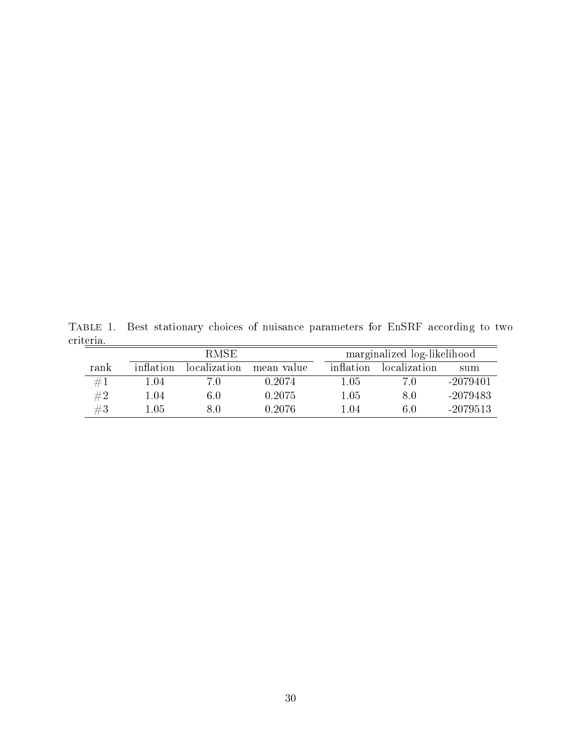Table 1. Best stationary choices of nuisance parameters for EnSRF according to two criteria.  $=$ 

|      |           | R MSE.       |            |           | marginalized log-likelihood |            |  |  |
|------|-----------|--------------|------------|-----------|-----------------------------|------------|--|--|
| rank | inflation | localization | mean value | inflation | localization                | sum        |  |  |
| #1   | 1.04      | 7.0          | 0.2074     | 1.05      | 7 O                         | $-2079401$ |  |  |
| #2   | 1.04      | 6.0          | 0.2075     | 1.05      | 80                          | -2079483   |  |  |
| #3   | 1.05      | 8.0          | 0.2076     | 1.04      | 6.0                         | $-2079513$ |  |  |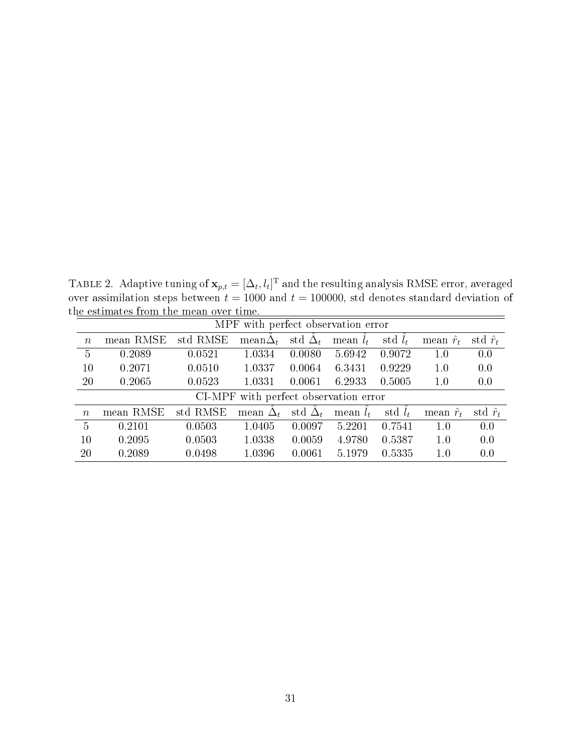TABLE 2. Adaptive tuning of  $\mathbf{x}_{p,t} = [\Delta_t, l_t]^{\mathrm{T}}$  and the resulting analysis RMSE error, averaged over assimilation steps between  $t = 1000$  and  $t = 100000$ , std denotes standard deviation of the estimates from the mean over time.

| MPF with perfect observation error    |           |          |                 |                      |            |           |                  |                 |
|---------------------------------------|-----------|----------|-----------------|----------------------|------------|-----------|------------------|-----------------|
| $\boldsymbol{n}$                      | mean RMSE | std RMSE | mean $\Delta_t$ | std $\Delta_t$       | mean $l_t$ | std $l_t$ | mean $\hat{r}_t$ | std $\hat{r}_t$ |
| $\overline{5}$                        | 0.2089    | 0.0521   | 1.0334          | 0.0080               | 5.6942     | 0.9072    | 1.0              | 0.0             |
| 10                                    | 0.2071    | 0.0510   | 1.0337          | 0.0064               | 6.3431     | 0.9229    | 1.0              | 0.0             |
| 20                                    | 0.2065    | 0.0523   | 1.0331          | 0.0061               | 6.2933     | 0.5005    | 1.0              | 0.0             |
| CI-MPF with perfect observation error |           |          |                 |                      |            |           |                  |                 |
| $\boldsymbol{n}$                      | mean RMSE | std RMSE | mean $\Delta_t$ | std $\hat{\Delta}_t$ | mean $l_t$ | std $l_t$ | mean $\hat{r}_t$ | std $\hat{r}_t$ |
| $\overline{5}$                        | 0.2101    | 0.0503   | 1.0405          | 0.0097               | 5.2201     | 0.7541    | 1.0              | 0.0             |
| 10                                    | 0.2095    | 0.0503   | 1.0338          | 0.0059               | 4.9780     | 0.5387    | 1.0              | 0.0             |
| 20                                    | 0.2089    | 0.0498   | 1.0396          | 0.0061               | 5.1979     | 0.5335    | 1.0              | 0.0             |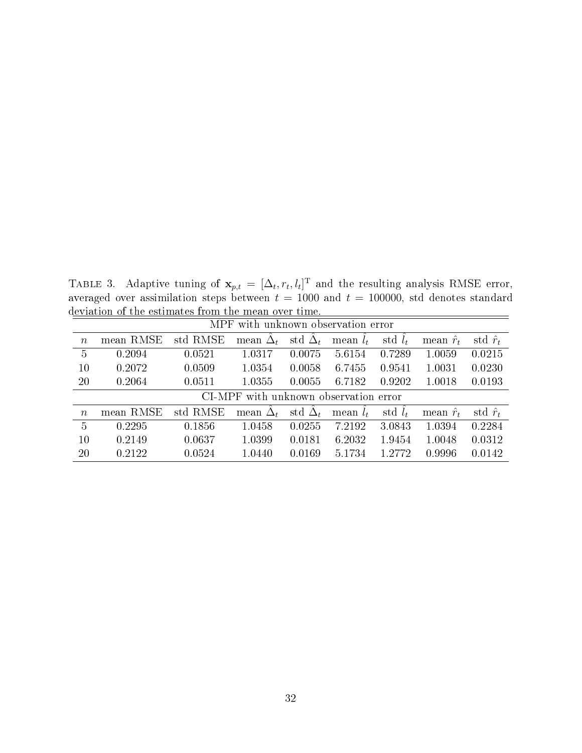TABLE 3. Adaptive tuning of  $\mathbf{x}_{p,t} = [\Delta_t, r_t, l_t]^T$  and the resulting analysis RMSE error, averaged over assimilation steps between  $t = 1000$  and  $t = 100000$ , std denotes standard deviation of the estimates from the mean over time.

|                                       | eviation of the estimates from the mean over time.                                          |          |                         |        |                                 |                  |                  |                 |  |
|---------------------------------------|---------------------------------------------------------------------------------------------|----------|-------------------------|--------|---------------------------------|------------------|------------------|-----------------|--|
| MPF with unknown observation error    |                                                                                             |          |                         |        |                                 |                  |                  |                 |  |
| $\boldsymbol{n}$                      | std $\hat{\Delta}_t$<br>std RMSE<br>mean $\Delta_t$<br>std $l_t$<br>mean $l_t$<br>mean RMSE |          |                         |        |                                 | mean $\hat{r}_t$ | std $\hat{r}_t$  |                 |  |
| $\overline{5}$                        | 0.2094                                                                                      | 0.0521   | 1.0317                  | 0.0075 | 5.6154                          | 0.7289           | 1.0059           | 0.0215          |  |
| 10                                    | 0.2072                                                                                      | 0.0509   | 1.0354                  | 0.0058 | 6.7455                          | 0.9541           | 1.0031           | 0.0230          |  |
| 20                                    | 0.2064                                                                                      | 0.0511   | 1.0355                  | 0.0055 | 6.7182                          | 0.9202           | 1.0018           | 0.0193          |  |
| CI-MPF with unknown observation error |                                                                                             |          |                         |        |                                 |                  |                  |                 |  |
| $\eta$                                | mean RMSE                                                                                   | std RMSE | mean $\tilde{\Delta}_t$ |        | std $\hat{\Delta}_t$ mean $l_t$ | std $l_t$        | mean $\hat{r}_t$ | std $\hat{r}_t$ |  |
| $5^{\circ}$                           | 0.2295                                                                                      | 0.1856   | 1.0458                  | 0.0255 | 7.2192                          | 3.0843           | 1.0394           | 0.2284          |  |
| 10                                    | 0.2149                                                                                      | 0.0637   | 1.0399                  | 0.0181 | 6.2032                          | 1.9454           | 1.0048           | 0.0312          |  |
| <b>20</b>                             | 0.2122                                                                                      | 0.0524   | 1.0440                  | 0.0169 | 5.1734                          | 1.2772           | 0.9996           | 0.0142          |  |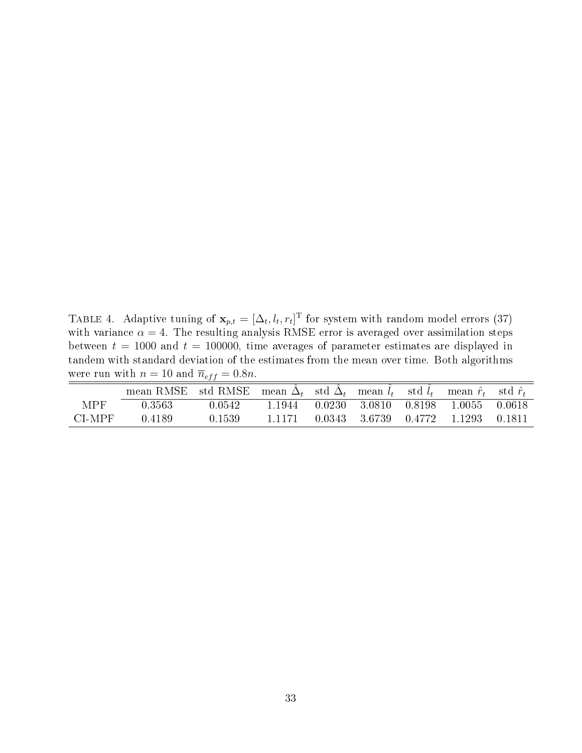TABLE 4. Adaptive tuning of  $\mathbf{x}_{p,t} = [\Delta_t, l_t, r_t]^T$  for system with random model errors (37) with variance  $\alpha = 4$ . The resulting analysis RMSE error is averaged over assimilation steps between  $t = 1000$  and  $t = 100000$ , time averages of parameter estimates are displayed in tandem with standard deviation of the estimates from the mean over time. Both algorithms were run with  $n = 10$  and  $\overline{n}_{eff} = 0.8n$ .

|            | mean RMSE std RMSE mean $\Delta_t$ std $\Delta_t$ mean $l_t$ std $l_t$ mean $\hat{r}_t$ std $\hat{r}_t$ |         |        |                                    |                                    |          |
|------------|---------------------------------------------------------------------------------------------------------|---------|--------|------------------------------------|------------------------------------|----------|
| <b>MPF</b> | 0.3563                                                                                                  | 0.0542. |        | 1.1944 0.0230 3.0810 0.8198 1.0055 |                                    | - 0 0618 |
| CI-MPF     | 0.4189                                                                                                  | 0.1539  | 1.1171 |                                    | 0.0343 3.6739 0.4772 1.1293 0.1811 |          |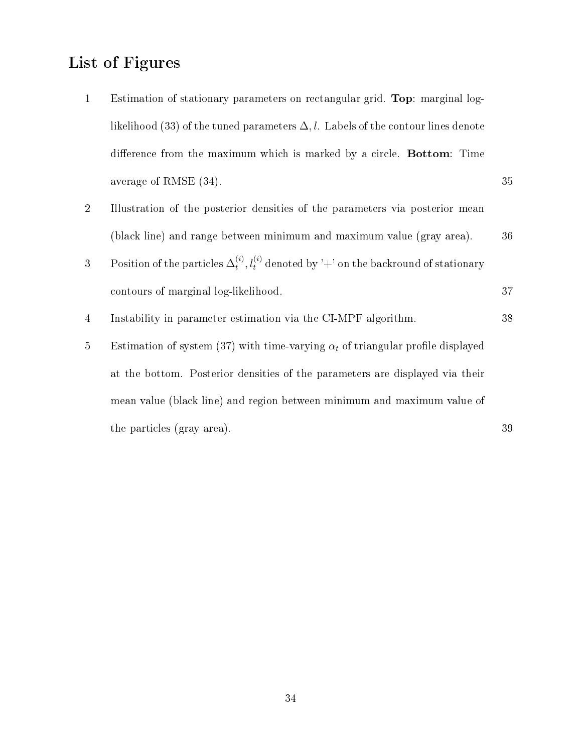# List of Figures

1 Estimation of stationary parameters on rectangular grid. Top: marginal loglikelihood (33) of the tuned parameters  $\Delta, l$ . Labels of the contour lines denote difference from the maximum which is marked by a circle. Bottom: Time average of RMSE (34).  $35$ 2 Illustration of the posterior densities of the parameters via posterior mean (black line) and range between minimum and maximum value (gray area). 36 3 Position of the particles  $\Delta_t^{(i)}$  $t_t^{(i)}, l_t^{(i)}$  denoted by '+' on the backround of stationary contours of marginal log-likelihood. 37 4 Instability in parameter estimation via the CI-MPF algorithm. 38 5 Estimation of system (37) with time-varying  $\alpha_t$  of triangular profile displayed at the bottom. Posterior densities of the parameters are displayed via their mean value (black line) and region between minimum and maximum value of

the particles (gray area). 39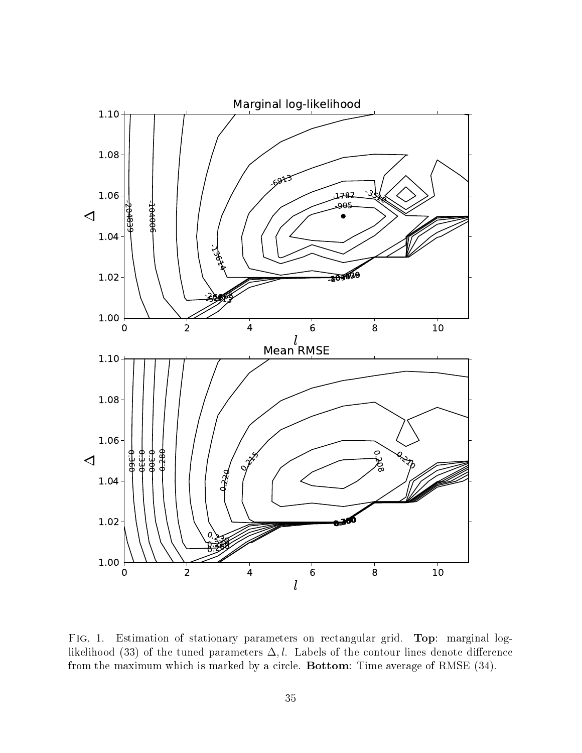

Fig. 1. Estimation of stationary parameters on rectangular grid. Top: marginal loglikelihood (33) of the tuned parameters  $\Delta, l$ . Labels of the contour lines denote difference from the maximum which is marked by a circle. Bottom: Time average of RMSE (34).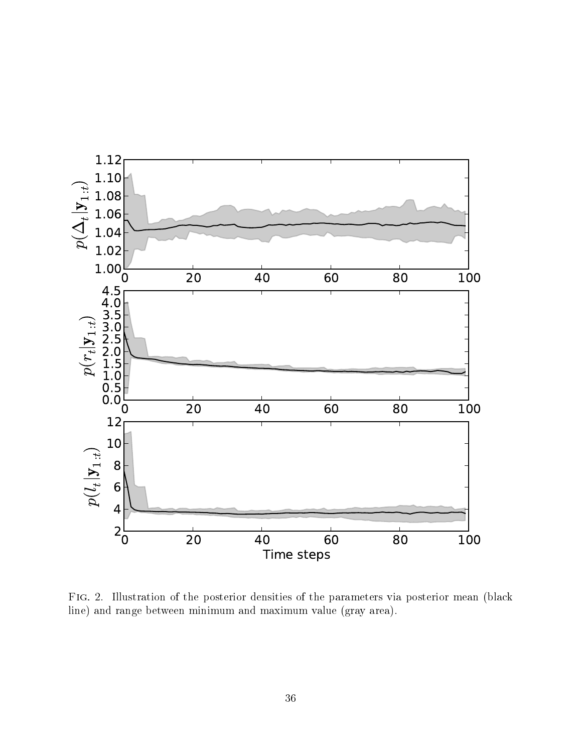

Fig. 2. Illustration of the posterior densities of the parameters via posterior mean (black line) and range between minimum and maximum value (gray area).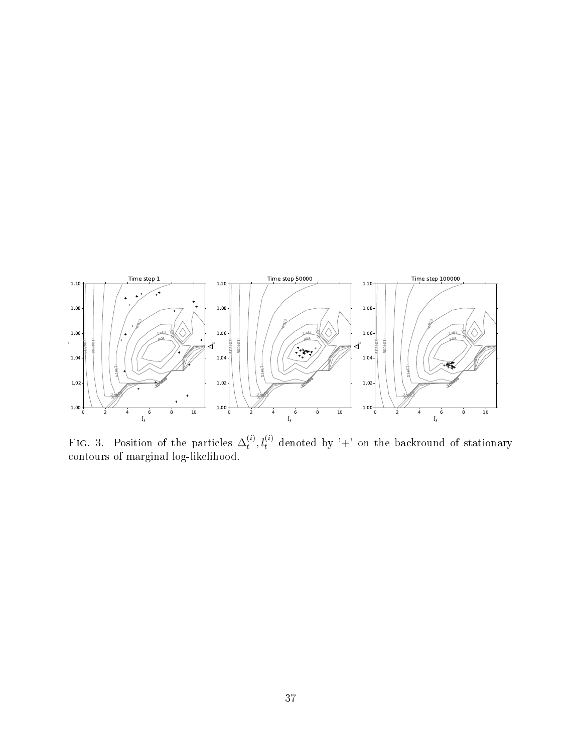

FIG. 3. Position of the particles  $\Delta_t^{(i)}$  $t^{(i)}_t, l^{(i)}_t \,\,\, \mathrm{denoted}\,\, \mathrm{by}\,\,{}^\prime + {}^\prime \,\, \mathrm{on} \,\, \mathrm{the} \,\,\, \mathrm{backward} \,\,\, of \,\,stationary}$ contours of marginal log-likelihood.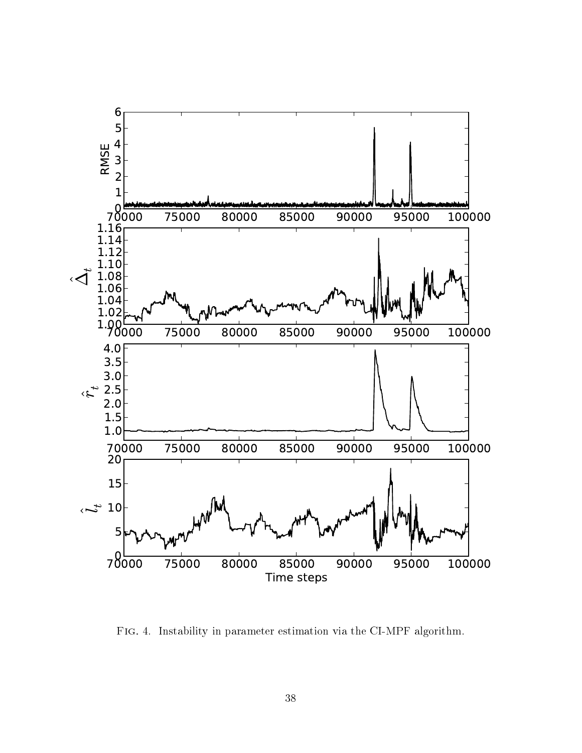

Fig. 4. Instability in parameter estimation via the CI-MPF algorithm.